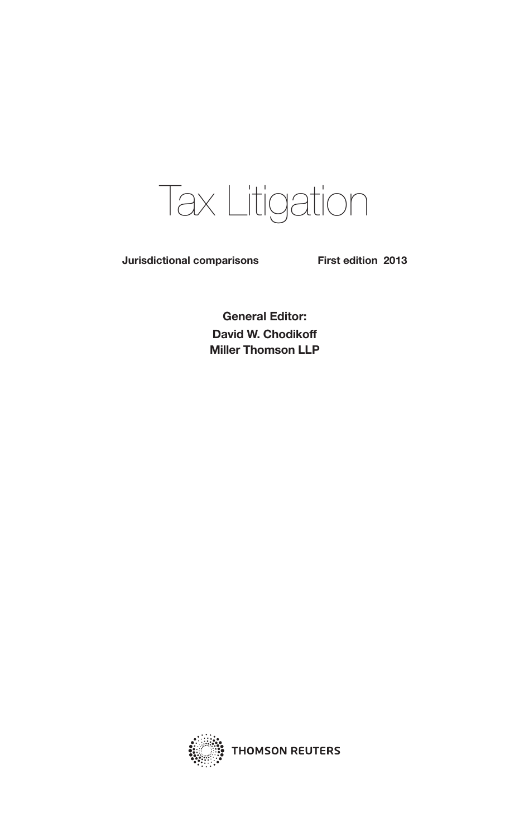# Tax Litigation

**Jurisdictional comparisons First edition 2013**

**General Editor: David W. Chodikoff Miller Thomson LLP**

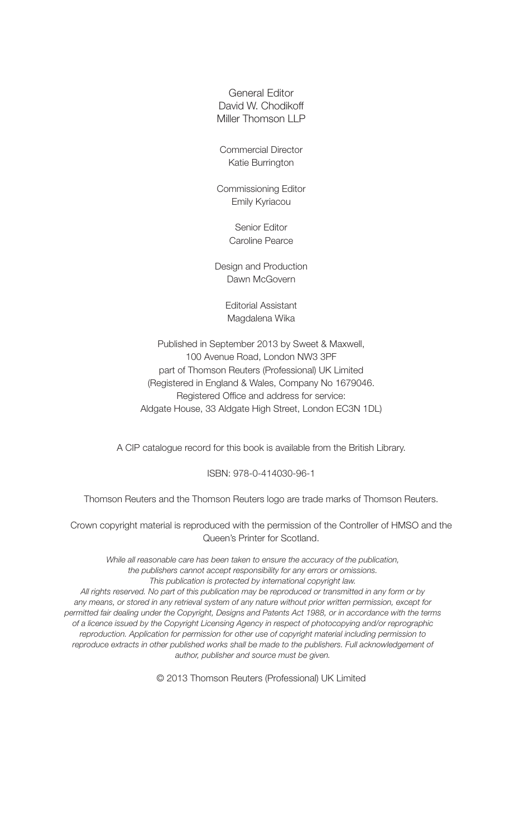General Editor David W. Chodikoff Miller Thomson LLP

Commercial Director Katie Burrington

Commissioning Editor Emily Kyriacou

> Senior Editor Caroline Pearce

Design and Production Dawn McGovern

> Editorial Assistant Magdalena Wika

Published in September 2013 by Sweet & Maxwell, 100 Avenue Road, London NW3 3PF part of Thomson Reuters (Professional) UK Limited (Registered in England & Wales, Company No 1679046. Registered Office and address for service: Aldgate House, 33 Aldgate High Street, London EC3N 1DL)

A CIP catalogue record for this book is available from the British Library.

#### ISBN: 978-0-414030-96-1

Thomson Reuters and the Thomson Reuters logo are trade marks of Thomson Reuters.

Crown copyright material is reproduced with the permission of the Controller of HMSO and the Queen's Printer for Scotland.

*While all reasonable care has been taken to ensure the accuracy of the publication, the publishers cannot accept responsibility for any errors or omissions. This publication is protected by international copyright law.*

*All rights reserved. No part of this publication may be reproduced or transmitted in any form or by any means, or stored in any retrieval system of any nature without prior written permission, except for permitted fair dealing under the Copyright, Designs and Patents Act 1988, or in accordance with the terms of a licence issued by the Copyright Licensing Agency in respect of photocopying and/or reprographic reproduction. Application for permission for other use of copyright material including permission to*  reproduce extracts in other published works shall be made to the publishers. Full acknowledgement of *author, publisher and source must be given.*

© 2013 Thomson Reuters (Professional) UK Limited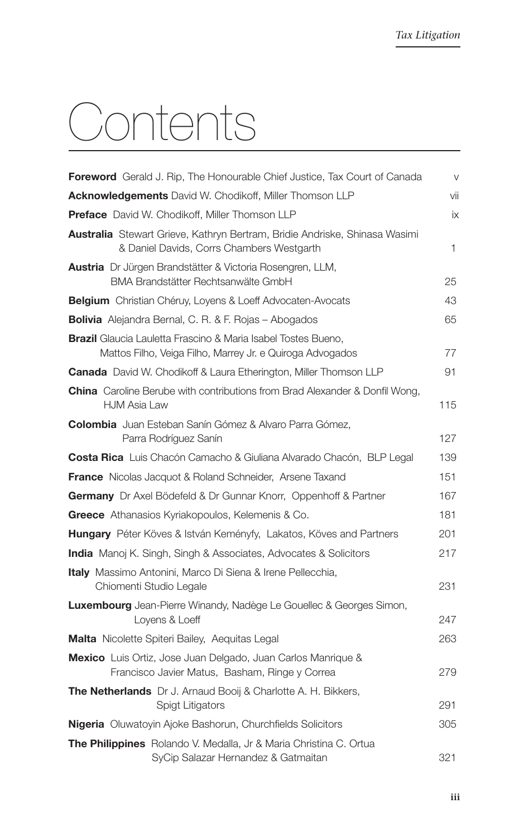# Contents

| <b>Foreword</b> Gerald J. Rip, The Honourable Chief Justice, Tax Court of Canada                                                  | $\vee$ |
|-----------------------------------------------------------------------------------------------------------------------------------|--------|
| <b>Acknowledgements</b> David W. Chodikoff, Miller Thomson LLP                                                                    | vii    |
| <b>Preface</b> David W. Chodikoff, Miller Thomson LLP                                                                             | iх     |
| <b>Australia</b> Stewart Grieve, Kathryn Bertram, Bridie Andriske, Shinasa Wasimi<br>& Daniel Davids, Corrs Chambers Westgarth    | 1      |
| <b>Austria</b> Dr Jürgen Brandstätter & Victoria Rosengren, LLM,<br>BMA Brandstätter Rechtsanwälte GmbH                           | 25     |
| <b>Belgium</b> Christian Chéruy, Loyens & Loeff Advocaten-Avocats                                                                 | 43     |
| <b>Bolivia</b> Alejandra Bernal, C. R. & F. Rojas - Abogados                                                                      | 65     |
| <b>Brazil</b> Glaucia Lauletta Frascino & Maria Isabel Tostes Bueno,<br>Mattos Filho, Veiga Filho, Marrey Jr. e Quiroga Advogados | 77     |
| <b>Canada</b> David W. Chodikoff & Laura Etherington, Miller Thomson LLP                                                          | 91     |
| <b>China</b> Caroline Berube with contributions from Brad Alexander & Donfil Wong,<br><b>HJM Asia Law</b>                         | 115    |
| <b>Colombia</b> Juan Esteban Sanín Gómez & Alvaro Parra Gómez,<br>Parra Rodríguez Sanín                                           | 127    |
| <b>Costa Rica</b> Luis Chacón Camacho & Giuliana Alvarado Chacón, BLP Legal                                                       | 139    |
| <b>France</b> Nicolas Jacquot & Roland Schneider, Arsene Taxand                                                                   | 151    |
| <b>Germany</b> Dr Axel Bödefeld & Dr Gunnar Knorr, Oppenhoff & Partner                                                            | 167    |
| Greece Athanasios Kyriakopoulos, Kelemenis & Co.                                                                                  | 181    |
| Hungary Péter Köves & István Keményfy, Lakatos, Köves and Partners                                                                | 201    |
| <b>India</b> Manoj K. Singh, Singh & Associates, Advocates & Solicitors                                                           | 217    |
| Italy Massimo Antonini, Marco Di Siena & Irene Pellecchia,<br>Chiomenti Studio Legale                                             | 231    |
| <b>Luxembourg</b> Jean-Pierre Winandy, Nadège Le Gouellec & Georges Simon,<br>Loyens & Loeff                                      | 247    |
| <b>Malta</b> Nicolette Spiteri Bailey, Aequitas Legal                                                                             | 263    |
| <b>Mexico</b> Luis Ortiz, Jose Juan Delgado, Juan Carlos Manrique &<br>Francisco Javier Matus, Basham, Ringe y Correa             | 279    |
| <b>The Netherlands</b> Dr J. Arnaud Booij & Charlotte A. H. Bikkers,<br>Spigt Litigators                                          | 291    |
| <b>Nigeria</b> Oluwatoyin Ajoke Bashorun, Churchfields Solicitors                                                                 | 305    |
| <b>The Philippines</b> Rolando V. Medalla, Jr & Maria Christina C. Ortua<br>SyCip Salazar Hernandez & Gatmaitan                   | 321    |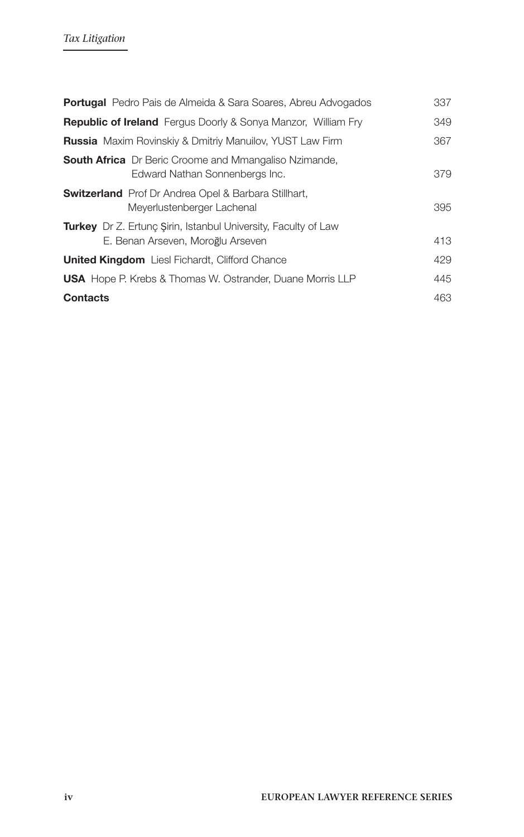| <b>Portugal</b> Pedro Pais de Almeida & Sara Soares, Abreu Advogados                                       | 337 |
|------------------------------------------------------------------------------------------------------------|-----|
| <b>Republic of Ireland</b> Fergus Doorly & Sonya Manzor, William Fry                                       | 349 |
| <b>Russia</b> Maxim Rovinskiy & Dmitriy Manuilov, YUST Law Firm                                            | 367 |
| <b>South Africa</b> Dr Beric Croome and Mmangaliso Nzimande,<br>Edward Nathan Sonnenbergs Inc.             | 379 |
| <b>Switzerland</b> Prof Dr Andrea Opel & Barbara Stillhart,<br>Meyerlustenberger Lachenal                  | 395 |
| <b>Turkey</b> Dr Z. Ertung Sirin, Istanbul University, Faculty of Law<br>E. Benan Arseven, Moroğlu Arseven | 413 |
| <b>United Kingdom</b> Liesl Fichardt, Clifford Chance                                                      | 429 |
| <b>USA</b> Hope P. Krebs & Thomas W. Ostrander, Duane Morris LLP                                           | 445 |
| <b>Contacts</b>                                                                                            | 463 |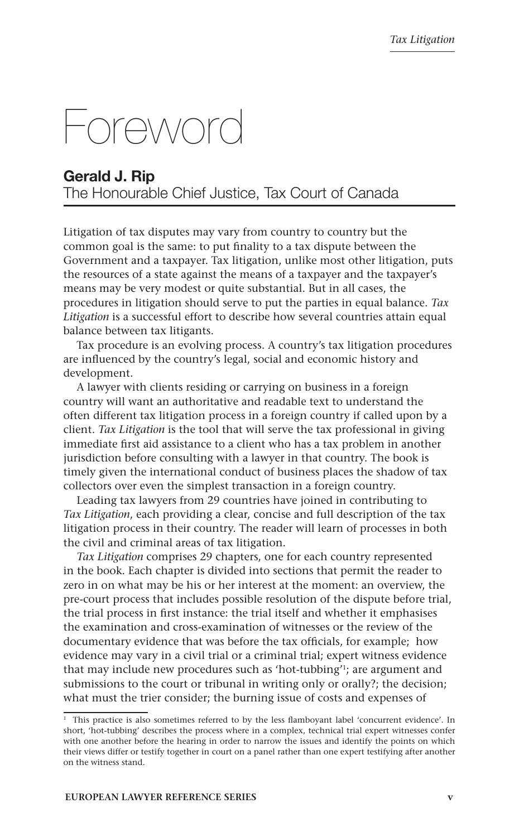# Foreword

# **Gerald J. Rip**  The Honourable Chief Justice, Tax Court of Canada

Litigation of tax disputes may vary from country to country but the common goal is the same: to put finality to a tax dispute between the Government and a taxpayer. Tax litigation, unlike most other litigation, puts the resources of a state against the means of a taxpayer and the taxpayer's means may be very modest or quite substantial. But in all cases, the procedures in litigation should serve to put the parties in equal balance. *Tax Litigation* is a successful effort to describe how several countries attain equal balance between tax litigants.

Tax procedure is an evolving process. A country's tax litigation procedures are influenced by the country's legal, social and economic history and development.

A lawyer with clients residing or carrying on business in a foreign country will want an authoritative and readable text to understand the often different tax litigation process in a foreign country if called upon by a client. *Tax Litigation* is the tool that will serve the tax professional in giving immediate first aid assistance to a client who has a tax problem in another jurisdiction before consulting with a lawyer in that country. The book is timely given the international conduct of business places the shadow of tax collectors over even the simplest transaction in a foreign country.

Leading tax lawyers from 29 countries have joined in contributing to *Tax Litigation*, each providing a clear, concise and full description of the tax litigation process in their country. The reader will learn of processes in both the civil and criminal areas of tax litigation.

*Tax Litigation* comprises 29 chapters, one for each country represented in the book. Each chapter is divided into sections that permit the reader to zero in on what may be his or her interest at the moment: an overview, the pre-court process that includes possible resolution of the dispute before trial, the trial process in first instance: the trial itself and whether it emphasises the examination and cross-examination of witnesses or the review of the documentary evidence that was before the tax officials, for example; how evidence may vary in a civil trial or a criminal trial; expert witness evidence that may include new procedures such as 'hot-tubbing'1; are argument and submissions to the court or tribunal in writing only or orally?; the decision; what must the trier consider; the burning issue of costs and expenses of

<sup>&</sup>lt;sup>1</sup> This practice is also sometimes referred to by the less flamboyant label 'concurrent evidence'. In short, 'hot-tubbing' describes the process where in a complex, technical trial expert witnesses confer with one another before the hearing in order to narrow the issues and identify the points on which their views differ or testify together in court on a panel rather than one expert testifying after another on the witness stand.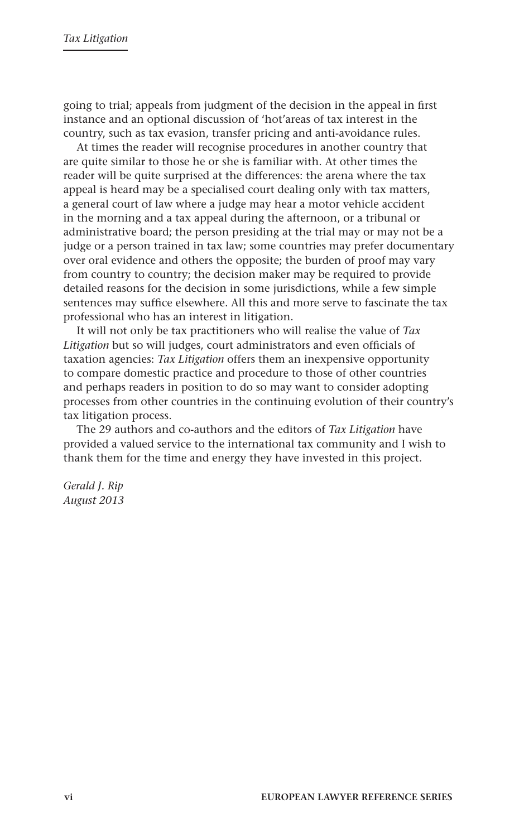going to trial; appeals from judgment of the decision in the appeal in first instance and an optional discussion of 'hot'areas of tax interest in the country, such as tax evasion, transfer pricing and anti-avoidance rules.

At times the reader will recognise procedures in another country that are quite similar to those he or she is familiar with. At other times the reader will be quite surprised at the differences: the arena where the tax appeal is heard may be a specialised court dealing only with tax matters, a general court of law where a judge may hear a motor vehicle accident in the morning and a tax appeal during the afternoon, or a tribunal or administrative board; the person presiding at the trial may or may not be a judge or a person trained in tax law; some countries may prefer documentary over oral evidence and others the opposite; the burden of proof may vary from country to country; the decision maker may be required to provide detailed reasons for the decision in some jurisdictions, while a few simple sentences may suffice elsewhere. All this and more serve to fascinate the tax professional who has an interest in litigation.

It will not only be tax practitioners who will realise the value of *Tax Litigation* but so will judges, court administrators and even officials of taxation agencies: *Tax Litigation* offers them an inexpensive opportunity to compare domestic practice and procedure to those of other countries and perhaps readers in position to do so may want to consider adopting processes from other countries in the continuing evolution of their country's tax litigation process.

The 29 authors and co-authors and the editors of *Tax Litigation* have provided a valued service to the international tax community and I wish to thank them for the time and energy they have invested in this project.

*Gerald J. Rip August 2013*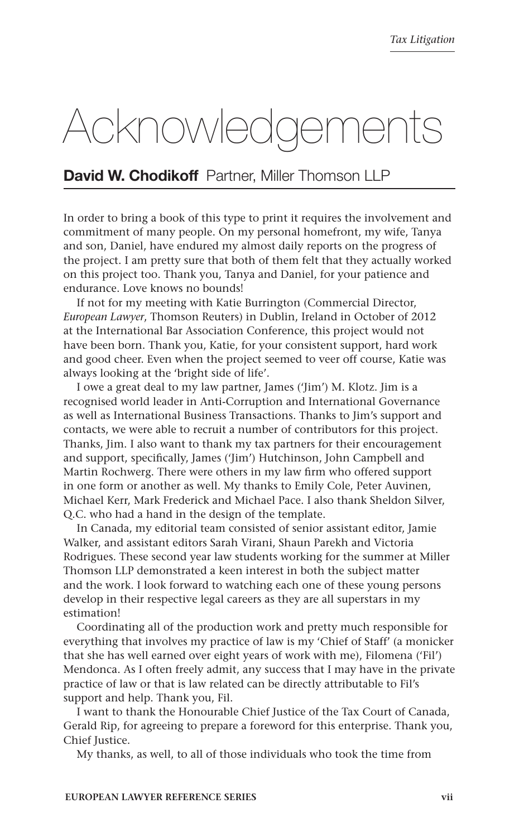# Acknowledgements

# **David W. Chodikoff** Partner, Miller Thomson LLP

In order to bring a book of this type to print it requires the involvement and commitment of many people. On my personal homefront, my wife, Tanya and son, Daniel, have endured my almost daily reports on the progress of the project. I am pretty sure that both of them felt that they actually worked on this project too. Thank you, Tanya and Daniel, for your patience and endurance. Love knows no bounds!

If not for my meeting with Katie Burrington (Commercial Director, *European Lawyer*, Thomson Reuters) in Dublin, Ireland in October of 2012 at the International Bar Association Conference, this project would not have been born. Thank you, Katie, for your consistent support, hard work and good cheer. Even when the project seemed to veer off course, Katie was always looking at the 'bright side of life'.

I owe a great deal to my law partner, James ('Jim') M. Klotz. Jim is a recognised world leader in Anti-Corruption and International Governance as well as International Business Transactions. Thanks to Jim's support and contacts, we were able to recruit a number of contributors for this project. Thanks, Jim. I also want to thank my tax partners for their encouragement and support, specifically, James ('Jim') Hutchinson, John Campbell and Martin Rochwerg. There were others in my law firm who offered support in one form or another as well. My thanks to Emily Cole, Peter Auvinen, Michael Kerr, Mark Frederick and Michael Pace. I also thank Sheldon Silver, Q.C. who had a hand in the design of the template.

In Canada, my editorial team consisted of senior assistant editor, Jamie Walker, and assistant editors Sarah Virani, Shaun Parekh and Victoria Rodrigues. These second year law students working for the summer at Miller Thomson LLP demonstrated a keen interest in both the subject matter and the work. I look forward to watching each one of these young persons develop in their respective legal careers as they are all superstars in my estimation!

Coordinating all of the production work and pretty much responsible for everything that involves my practice of law is my 'Chief of Staff' (a monicker that she has well earned over eight years of work with me), Filomena ('Fil') Mendonca. As I often freely admit, any success that I may have in the private practice of law or that is law related can be directly attributable to Fil's support and help. Thank you, Fil.

I want to thank the Honourable Chief Justice of the Tax Court of Canada, Gerald Rip, for agreeing to prepare a foreword for this enterprise. Thank you, Chief Justice.

My thanks, as well, to all of those individuals who took the time from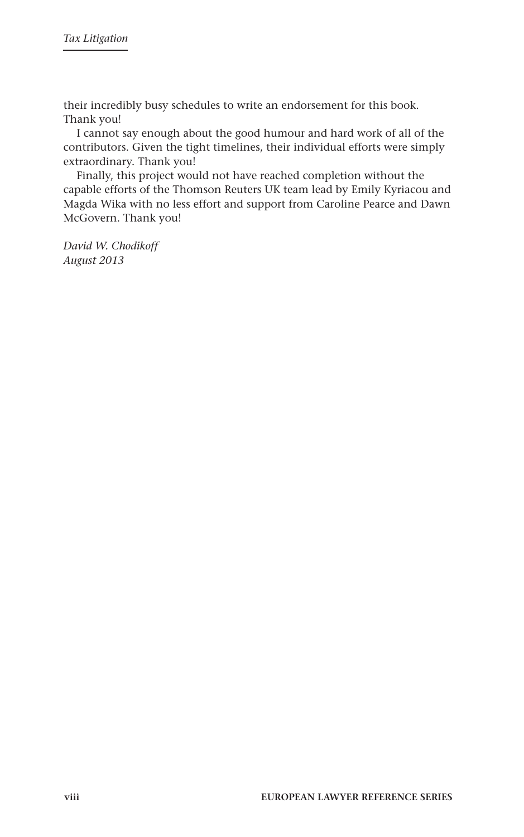their incredibly busy schedules to write an endorsement for this book. Thank you!

I cannot say enough about the good humour and hard work of all of the contributors. Given the tight timelines, their individual efforts were simply extraordinary. Thank you!

Finally, this project would not have reached completion without the capable efforts of the Thomson Reuters UK team lead by Emily Kyriacou and Magda Wika with no less effort and support from Caroline Pearce and Dawn McGovern. Thank you!

*David W. Chodikoff August 2013*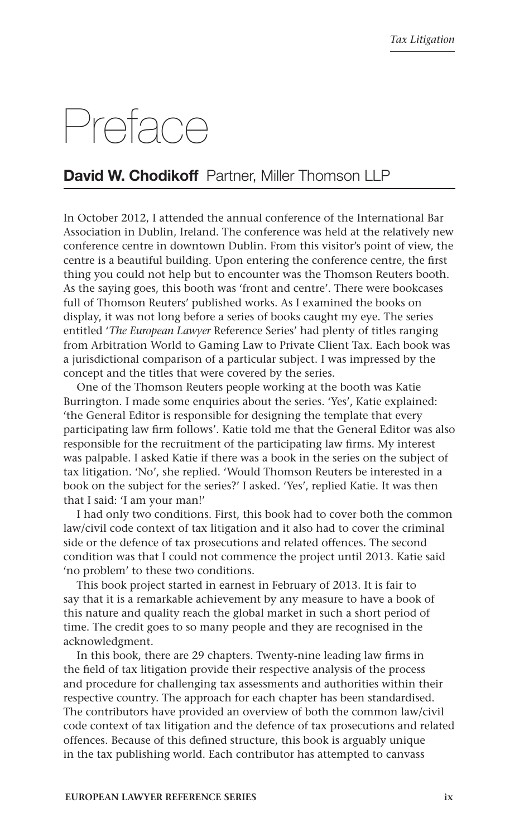# Preface

# **David W. Chodikoff** Partner, Miller Thomson LLP

In October 2012, I attended the annual conference of the International Bar Association in Dublin, Ireland. The conference was held at the relatively new conference centre in downtown Dublin. From this visitor's point of view, the centre is a beautiful building. Upon entering the conference centre, the first thing you could not help but to encounter was the Thomson Reuters booth. As the saying goes, this booth was 'front and centre'. There were bookcases full of Thomson Reuters' published works. As I examined the books on display, it was not long before a series of books caught my eye. The series entitled '*The European Lawyer* Reference Series' had plenty of titles ranging from Arbitration World to Gaming Law to Private Client Tax. Each book was a jurisdictional comparison of a particular subject. I was impressed by the concept and the titles that were covered by the series.

One of the Thomson Reuters people working at the booth was Katie Burrington. I made some enquiries about the series. 'Yes', Katie explained: 'the General Editor is responsible for designing the template that every participating law firm follows'. Katie told me that the General Editor was also responsible for the recruitment of the participating law firms. My interest was palpable. I asked Katie if there was a book in the series on the subject of tax litigation. 'No', she replied. 'Would Thomson Reuters be interested in a book on the subject for the series?' I asked. 'Yes', replied Katie. It was then that I said: 'I am your man!'

I had only two conditions. First, this book had to cover both the common law/civil code context of tax litigation and it also had to cover the criminal side or the defence of tax prosecutions and related offences. The second condition was that I could not commence the project until 2013. Katie said 'no problem' to these two conditions.

This book project started in earnest in February of 2013. It is fair to say that it is a remarkable achievement by any measure to have a book of this nature and quality reach the global market in such a short period of time. The credit goes to so many people and they are recognised in the acknowledgment.

In this book, there are 29 chapters. Twenty-nine leading law firms in the field of tax litigation provide their respective analysis of the process and procedure for challenging tax assessments and authorities within their respective country. The approach for each chapter has been standardised. The contributors have provided an overview of both the common law/civil code context of tax litigation and the defence of tax prosecutions and related offences. Because of this defined structure, this book is arguably unique in the tax publishing world. Each contributor has attempted to canvass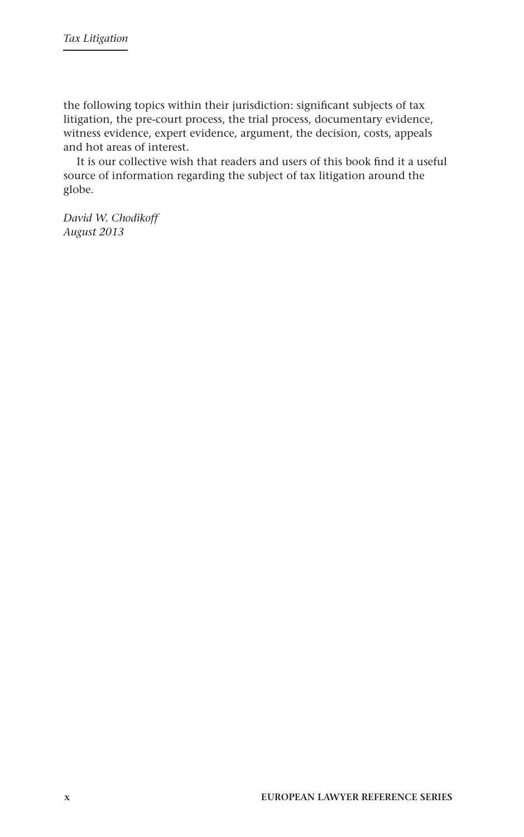the following topics within their jurisdiction: significant subjects of tax litigation, the pre-court process, the trial process, documentary evidence, witness evidence, expert evidence, argument, the decision, costs, appeals and hot areas of interest.

It is our collective wish that readers and users of this book find it a useful source of information regarding the subject of tax litigation around the globe.

*David W. Chodikoff August 2013*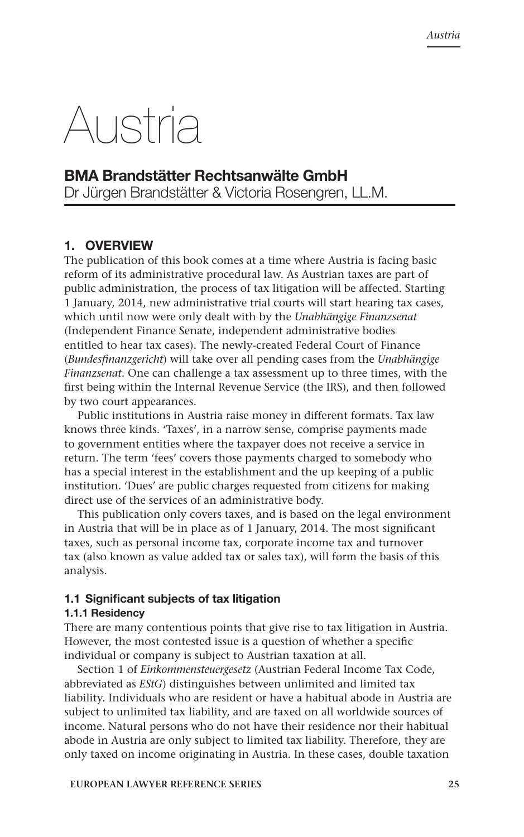# Austria

# **BMA Brandstätter Rechtsanwälte GmbH**

Dr Jürgen Brandstätter & Victoria Rosengren, LL.M.

# **1. overview**

The publication of this book comes at a time where Austria is facing basic reform of its administrative procedural law. As Austrian taxes are part of public administration, the process of tax litigation will be affected. Starting 1 January, 2014, new administrative trial courts will start hearing tax cases, which until now were only dealt with by the *Unabhängige Finanzsenat*  (Independent Finance Senate, independent administrative bodies entitled to hear tax cases). The newly-created Federal Court of Finance (*Bundesfinanzgericht*) will take over all pending cases from the *Unabhängige Finanzsenat*. One can challenge a tax assessment up to three times, with the first being within the Internal Revenue Service (the IRS), and then followed by two court appearances.

Public institutions in Austria raise money in different formats. Tax law knows three kinds. 'Taxes', in a narrow sense, comprise payments made to government entities where the taxpayer does not receive a service in return. The term 'fees' covers those payments charged to somebody who has a special interest in the establishment and the up keeping of a public institution. 'Dues' are public charges requested from citizens for making direct use of the services of an administrative body.

This publication only covers taxes, and is based on the legal environment in Austria that will be in place as of 1 January, 2014. The most significant taxes, such as personal income tax, corporate income tax and turnover tax (also known as value added tax or sales tax), will form the basis of this analysis.

#### **1.1 Significant subjects of tax litigation**

#### **1.1.1 Residency**

There are many contentious points that give rise to tax litigation in Austria. However, the most contested issue is a question of whether a specific individual or company is subject to Austrian taxation at all.

Section 1 of *Einkommensteuergesetz* (Austrian Federal Income Tax Code, abbreviated as *EStG*) distinguishes between unlimited and limited tax liability. Individuals who are resident or have a habitual abode in Austria are subject to unlimited tax liability, and are taxed on all worldwide sources of income. Natural persons who do not have their residence nor their habitual abode in Austria are only subject to limited tax liability. Therefore, they are only taxed on income originating in Austria. In these cases, double taxation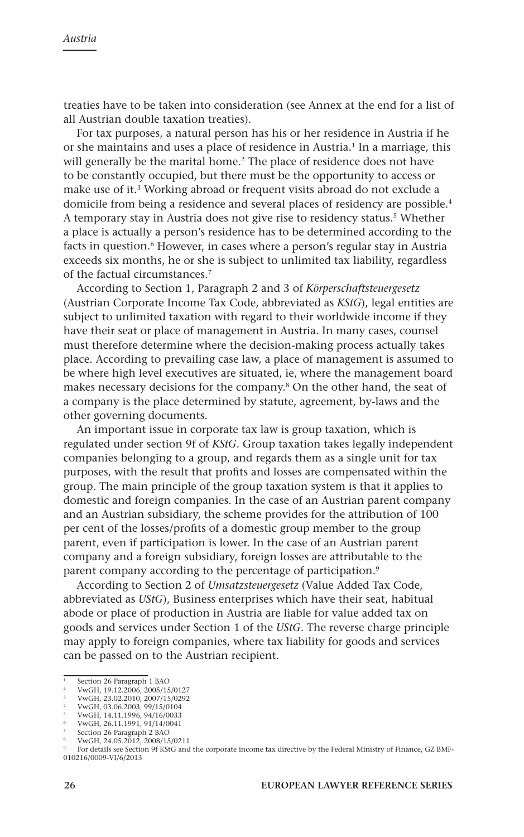treaties have to be taken into consideration (see Annex at the end for a list of all Austrian double taxation treaties).

For tax purposes, a natural person has his or her residence in Austria if he or she maintains and uses a place of residence in Austria.<sup>1</sup> In a marriage, this will generally be the marital home.<sup>2</sup> The place of residence does not have to be constantly occupied, but there must be the opportunity to access or make use of it.3 Working abroad or frequent visits abroad do not exclude a domicile from being a residence and several places of residency are possible.4 A temporary stay in Austria does not give rise to residency status.<sup>5</sup> Whether a place is actually a person's residence has to be determined according to the facts in question.<sup>6</sup> However, in cases where a person's regular stay in Austria exceeds six months, he or she is subject to unlimited tax liability, regardless of the factual circumstances.7

According to Section 1, Paragraph 2 and 3 of *Körperschaftsteuergesetz*  (Austrian Corporate Income Tax Code, abbreviated as *KStG*), legal entities are subject to unlimited taxation with regard to their worldwide income if they have their seat or place of management in Austria. In many cases, counsel must therefore determine where the decision-making process actually takes place. According to prevailing case law, a place of management is assumed to be where high level executives are situated, ie, where the management board makes necessary decisions for the company.8 On the other hand, the seat of a company is the place determined by statute, agreement, by-laws and the other governing documents.

An important issue in corporate tax law is group taxation, which is regulated under section 9f of *KStG*. Group taxation takes legally independent companies belonging to a group, and regards them as a single unit for tax purposes, with the result that profits and losses are compensated within the group. The main principle of the group taxation system is that it applies to domestic and foreign companies. In the case of an Austrian parent company and an Austrian subsidiary, the scheme provides for the attribution of 100 per cent of the losses/profits of a domestic group member to the group parent, even if participation is lower. In the case of an Austrian parent company and a foreign subsidiary, foreign losses are attributable to the parent company according to the percentage of participation.<sup>9</sup>

According to Section 2 of *Umsatzsteuergesetz* (Value Added Tax Code, abbreviated as *UStG*), Business enterprises which have their seat, habitual abode or place of production in Austria are liable for value added tax on goods and services under Section 1 of the *UStG*. The reverse charge principle may apply to foreign companies, where tax liability for goods and services can be passed on to the Austrian recipient.

<sup>8</sup> VwGH, 24.05.2012, 2008/15/0211

<sup>1</sup> Section 26 Paragraph 1 BAO

<sup>2</sup> VwGH, 19.12.2006, 2005/15/0127 <sup>3</sup> VwGH, 23.02.2010, 2007/15/0292

<sup>4</sup> VwGH, 03.06.2003, 99/15/0104

<sup>5</sup> VwGH, 14.11.1996, 94/16/0033

<sup>6</sup> VwGH, 26.11.1991, 91/14/0041

Section 26 Paragraph 2 BAO

<sup>9</sup> For details see Section 9f KStG and the corporate income tax directive by the Federal Ministry of Finance, GZ BMF-010216/0009-VI/6/2013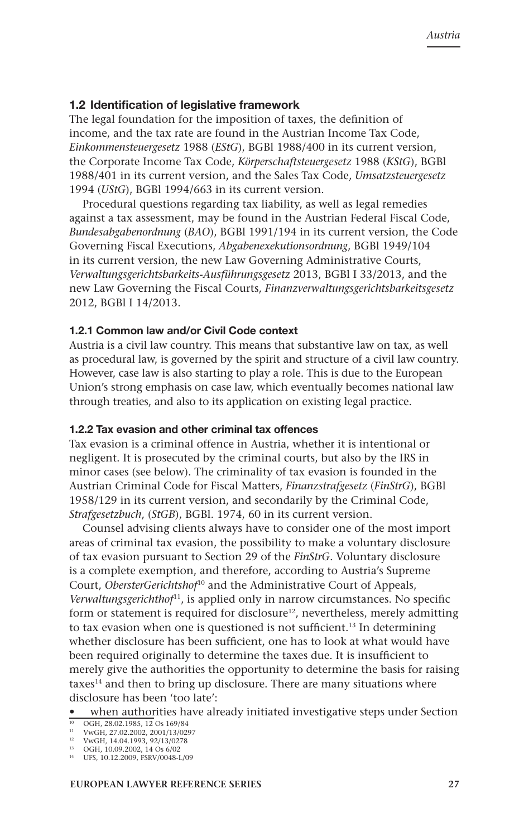#### **1.2 Identification of legislative framework**

The legal foundation for the imposition of taxes, the definition of income, and the tax rate are found in the Austrian Income Tax Code, *Einkommensteuergesetz* 1988 (*EStG*), BGBl 1988/400 in its current version, the Corporate Income Tax Code, *Körperschaftsteuergesetz* 1988 (*KStG*), BGBl 1988/401 in its current version, and the Sales Tax Code, *Umsatzsteuergesetz*  1994 (*UStG*), BGBl 1994/663 in its current version.

Procedural questions regarding tax liability, as well as legal remedies against a tax assessment, may be found in the Austrian Federal Fiscal Code, *Bundesabgabenordnung* (*BAO*), BGBl 1991/194 in its current version, the Code Governing Fiscal Executions, *Abgabenexekutionsordnung*, BGBl 1949/104 in its current version, the new Law Governing Administrative Courts, *Verwaltungsgerichtsbarkeits-Ausführungsgesetz* 2013, BGBl I 33/2013, and the new Law Governing the Fiscal Courts, *Finanzverwaltungsgerichtsbarkeitsgesetz*  2012, BGBl I 14/2013.

#### **1.2.1 Common law and/or Civil Code context**

Austria is a civil law country. This means that substantive law on tax, as well as procedural law, is governed by the spirit and structure of a civil law country. However, case law is also starting to play a role. This is due to the European Union's strong emphasis on case law, which eventually becomes national law through treaties, and also to its application on existing legal practice.

#### **1.2.2 Tax evasion and other criminal tax offences**

Tax evasion is a criminal offence in Austria, whether it is intentional or negligent. It is prosecuted by the criminal courts, but also by the IRS in minor cases (see below). The criminality of tax evasion is founded in the Austrian Criminal Code for Fiscal Matters, *Finanzstrafgesetz* (*FinStrG*), BGBl 1958/129 in its current version, and secondarily by the Criminal Code, *Strafgesetzbuch*, (*StGB*), BGBl. 1974, 60 in its current version.

Counsel advising clients always have to consider one of the most import areas of criminal tax evasion, the possibility to make a voluntary disclosure of tax evasion pursuant to Section 29 of the *FinStrG*. Voluntary disclosure is a complete exemption, and therefore, according to Austria's Supreme Court, *ObersterGerichtshof*10 and the Administrative Court of Appeals, *Verwaltungsgerichthof*11, is applied only in narrow circumstances. No specific form or statement is required for disclosure<sup>12</sup>, nevertheless, merely admitting to tax evasion when one is questioned is not sufficient.<sup>13</sup> In determining whether disclosure has been sufficient, one has to look at what would have been required originally to determine the taxes due. It is insufficient to merely give the authorities the opportunity to determine the basis for raising taxes<sup>14</sup> and then to bring up disclosure. There are many situations where disclosure has been 'too late':

when authorities have already initiated investigative steps under Section

<sup>10</sup> OGH, 28.02.1985, 12 Os 169/84 <sup>11</sup> VwGH, 27.02.2002, 2001/13/0297

<sup>12</sup> VwGH, 14.04.1993, 92/13/0278

<sup>13</sup> OGH, 10.09.2002, 14 Os 6/02

<sup>14</sup> UFS, 10.12.2009, FSRV/0048-L/09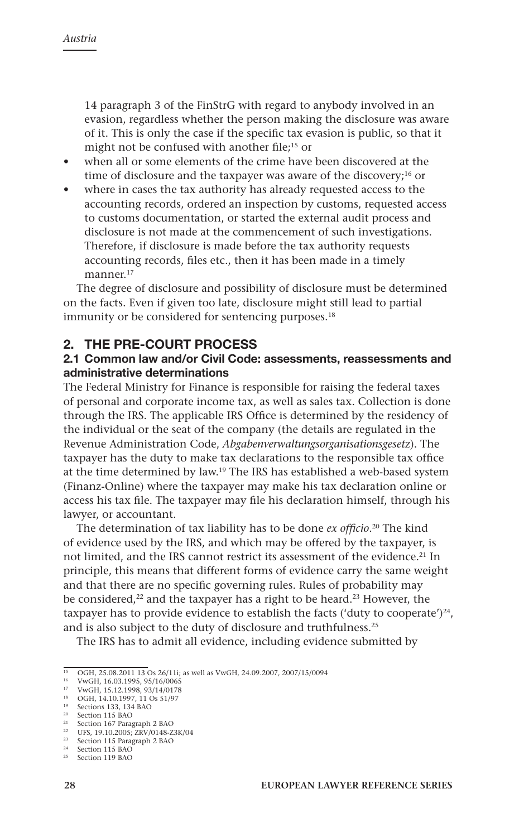14 paragraph 3 of the FinStrG with regard to anybody involved in an evasion, regardless whether the person making the disclosure was aware of it. This is only the case if the specific tax evasion is public, so that it might not be confused with another file;<sup>15</sup> or

- • when all or some elements of the crime have been discovered at the time of disclosure and the taxpayer was aware of the discovery;<sup>16</sup> or
- where in cases the tax authority has already requested access to the accounting records, ordered an inspection by customs, requested access to customs documentation, or started the external audit process and disclosure is not made at the commencement of such investigations. Therefore, if disclosure is made before the tax authority requests accounting records, files etc., then it has been made in a timely manner<sup>17</sup>

The degree of disclosure and possibility of disclosure must be determined on the facts. Even if given too late, disclosure might still lead to partial immunity or be considered for sentencing purposes.<sup>18</sup>

## **2. THE PRE-COURT PROCESS**

## **2.1 Common law and/or Civil Code: assessments, reassessments and administrative determinations**

The Federal Ministry for Finance is responsible for raising the federal taxes of personal and corporate income tax, as well as sales tax. Collection is done through the IRS. The applicable IRS Office is determined by the residency of the individual or the seat of the company (the details are regulated in the Revenue Administration Code, *Abgabenverwaltungsorganisationsgesetz*). The taxpayer has the duty to make tax declarations to the responsible tax office at the time determined by law.19 The IRS has established a web-based system (Finanz-Online) where the taxpayer may make his tax declaration online or access his tax file. The taxpayer may file his declaration himself, through his lawyer, or accountant.

The determination of tax liability has to be done *ex officio*. 20 The kind of evidence used by the IRS, and which may be offered by the taxpayer, is not limited, and the IRS cannot restrict its assessment of the evidence.<sup>21</sup> In principle, this means that different forms of evidence carry the same weight and that there are no specific governing rules. Rules of probability may be considered,<sup>22</sup> and the taxpayer has a right to be heard.<sup>23</sup> However, the taxpayer has to provide evidence to establish the facts ('duty to cooperate')<sup>24</sup>, and is also subject to the duty of disclosure and truthfulness.25

The IRS has to admit all evidence, including evidence submitted by

<sup>&</sup>lt;sup>15</sup> OGH, 25.08.2011 13 Os 26/11i; as well as VwGH, 24.09.2007, 2007/15/0094

<sup>16</sup> VwGH, 16.03.1995, 95/16/0065 <sup>17</sup> VwGH, 15.12.1998, 93/14/0178

<sup>&</sup>lt;sup>18</sup> OGH, 14.10.1997, 11 Os 51/97<br><sup>19</sup> Sections 133, 134 BAO

<sup>20</sup> Section 115 BAO

<sup>21</sup> Section 167 Paragraph 2 BAO

<sup>&</sup>lt;sup>22</sup> UFS, 19.10.2005; ZRV/0148-Z3K/04

<sup>23</sup> Section 115 Paragraph 2 BAO

<sup>&</sup>lt;sup>24</sup> Section 115 BAO<br><sup>25</sup> Section 119 BAO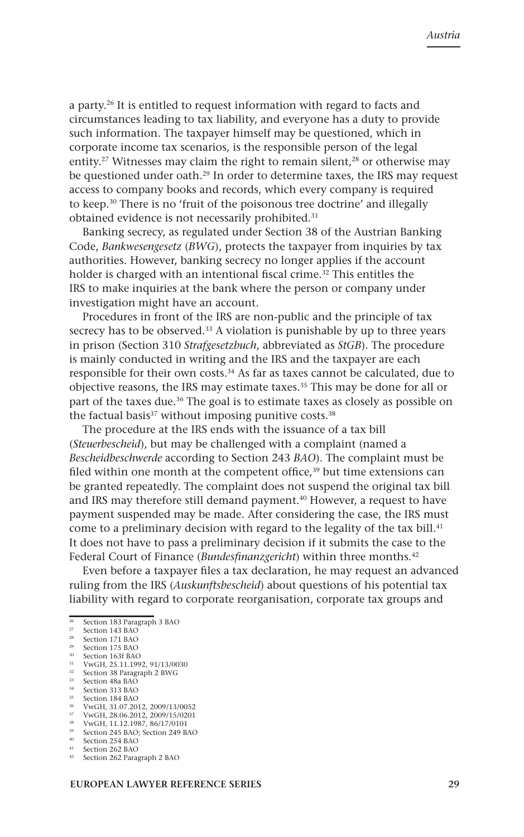a party.26 It is entitled to request information with regard to facts and circumstances leading to tax liability, and everyone has a duty to provide such information. The taxpayer himself may be questioned, which in corporate income tax scenarios, is the responsible person of the legal entity.<sup>27</sup> Witnesses may claim the right to remain silent.<sup>28</sup> or otherwise may be questioned under oath.29 In order to determine taxes, the IRS may request access to company books and records, which every company is required to keep.30 There is no 'fruit of the poisonous tree doctrine' and illegally obtained evidence is not necessarily prohibited.<sup>31</sup>

Banking secrecy, as regulated under Section 38 of the Austrian Banking Code, *Bankwesengesetz* (*BWG*), protects the taxpayer from inquiries by tax authorities. However, banking secrecy no longer applies if the account holder is charged with an intentional fiscal crime.<sup>32</sup> This entitles the IRS to make inquiries at the bank where the person or company under investigation might have an account.

Procedures in front of the IRS are non-public and the principle of tax secrecy has to be observed.<sup>33</sup> A violation is punishable by up to three years in prison (Section 310 *Strafgesetzbuch*, abbreviated as *StGB*). The procedure is mainly conducted in writing and the IRS and the taxpayer are each responsible for their own costs.34 As far as taxes cannot be calculated, due to objective reasons, the IRS may estimate taxes.<sup>35</sup> This may be done for all or part of the taxes due.<sup>36</sup> The goal is to estimate taxes as closely as possible on the factual basis<sup>37</sup> without imposing punitive costs.<sup>38</sup>

The procedure at the IRS ends with the issuance of a tax bill (*Steuerbescheid*), but may be challenged with a complaint (named a *Bescheidbeschwerde* according to Section 243 *BAO*). The complaint must be filed within one month at the competent office,<sup>39</sup> but time extensions can be granted repeatedly. The complaint does not suspend the original tax bill and IRS may therefore still demand payment.<sup>40</sup> However, a request to have payment suspended may be made. After considering the case, the IRS must come to a preliminary decision with regard to the legality of the tax bill.<sup>41</sup> It does not have to pass a preliminary decision if it submits the case to the Federal Court of Finance (*Bundesfinanzgericht*) within three months.<sup>42</sup>

Even before a taxpayer files a tax declaration, he may request an advanced ruling from the IRS (*Auskunftsbescheid*) about questions of his potential tax liability with regard to corporate reorganisation, corporate tax groups and

Section 48a BAO

- <sup>36</sup> VwGH, 31.07.2012, 2009/13/0052 <sup>37</sup> VwGH, 28.06.2012, 2009/15/0201
- <sup>38</sup> VwGH, 11.12.1987, 86/17/0101

 $rac{26}{27}$  Section 183 Paragraph 3 BAO

<sup>&</sup>lt;sup>27</sup> Section 143 BAC<br><sup>28</sup> Section 171 BAC

<sup>&</sup>lt;sup>28</sup> Section 171 BAO<br><sup>29</sup> Section 175 BAO

<sup>&</sup>lt;sup>29</sup> Section 175 BAO  $30$  Section 163f BAO<br> $31$   $V_{\text{WCH}}$  25 11 100

<sup>31</sup> VwGH, 25.11.1992, 91/13/0030

 $32$  Section 38 Paragraph 2 BWG<br> $33$  Section 48a BAO

 $34$  Section 313 BAO<br>35 Section 184 BAO Section 184 BAO

<sup>39</sup> Section 245 BAO; Section 249 BAO

<sup>40</sup> Section 254 BAO

<sup>&</sup>lt;sup>41</sup> Section 262 BAO<br><sup>42</sup> Section 262 Paragraph 2 BAO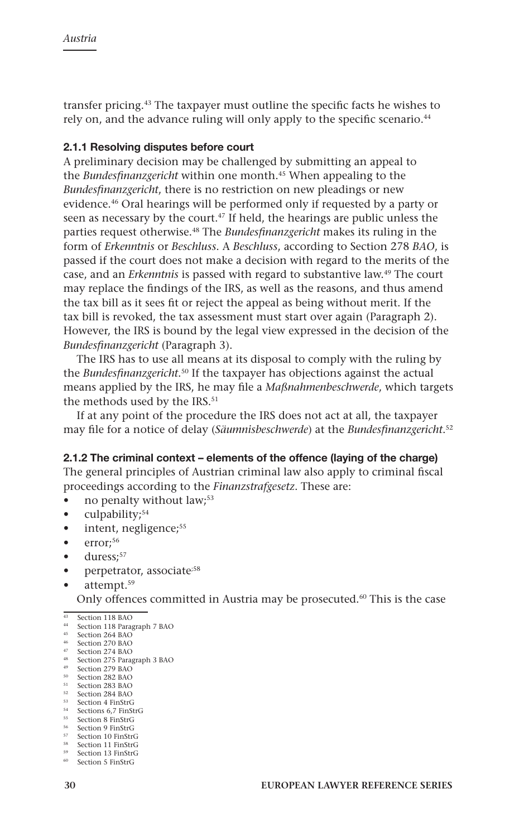transfer pricing.43 The taxpayer must outline the specific facts he wishes to rely on, and the advance ruling will only apply to the specific scenario.<sup>44</sup>

## **2.1.1 Resolving disputes before court**

A preliminary decision may be challenged by submitting an appeal to the *Bundesfinanzgericht* within one month.<sup>45</sup> When appealing to the *Bundesfinanzgericht*, there is no restriction on new pleadings or new evidence.46 Oral hearings will be performed only if requested by a party or seen as necessary by the court.<sup>47</sup> If held, the hearings are public unless the parties request otherwise.48 The *Bundesfinanzgericht* makes its ruling in the form of *Erkenntnis* or *Beschluss*. A *Beschluss*, according to Section 278 *BAO*, is passed if the court does not make a decision with regard to the merits of the case, and an *Erkenntnis* is passed with regard to substantive law.49 The court may replace the findings of the IRS, as well as the reasons, and thus amend the tax bill as it sees fit or reject the appeal as being without merit. If the tax bill is revoked, the tax assessment must start over again (Paragraph 2). However, the IRS is bound by the legal view expressed in the decision of the *Bundesfinanzgericht* (Paragraph 3).

The IRS has to use all means at its disposal to comply with the ruling by the *Bundesfinanzgericht*. 50 If the taxpayer has objections against the actual means applied by the IRS, he may file a *Maßnahmenbeschwerde*, which targets the methods used by the IRS.<sup>51</sup>

If at any point of the procedure the IRS does not act at all, the taxpayer may file for a notice of delay (*Säumnisbeschwerde*) at the *Bundesfinanzgericht*. 52

#### **2.1.2 The criminal context – elements of the offence (laying of the charge)**

The general principles of Austrian criminal law also apply to criminal fiscal proceedings according to the *Finanzstrafgesetz*. These are:

- no penalty without law;<sup>53</sup>
- culpability;<sup>54</sup>
- intent, negligence;<sup>55</sup>
- $\bullet$  error;<sup>56</sup>
- duress;<sup>57</sup>
- perpetrator, associate<sup>;58</sup>
- attempt.<sup>59</sup>

Only offences committed in Austria may be prosecuted.<sup>60</sup> This is the case

<sup>45</sup> Section 264 BAO

- <sup>47</sup> Section 274 BAO
- <sup>48</sup> Section 275 Paragraph 3 BAO
- <sup>49</sup> Section 279 BAO <sup>50</sup> Section 282 BAO
- <sup>51</sup> Section 283 BAO
- <sup>52</sup> Section 284 BAO
- <sup>53</sup> Section 4 FinStrG
- <sup>54</sup> Sections 6,7 FinStrG <sup>55</sup> Section 8 FinStrG
- <sup>56</sup> Section 9 FinStrG
- <sup>57</sup> Section 10 FinStrG
- <sup>58</sup> Section 11 FinStrG
- Section 13 FinStrG

<sup>&</sup>lt;sup>43</sup> Section 118 BAO<br><sup>44</sup> Section 118 Paragraph 7 BAO

<sup>46</sup> Section 270 BAO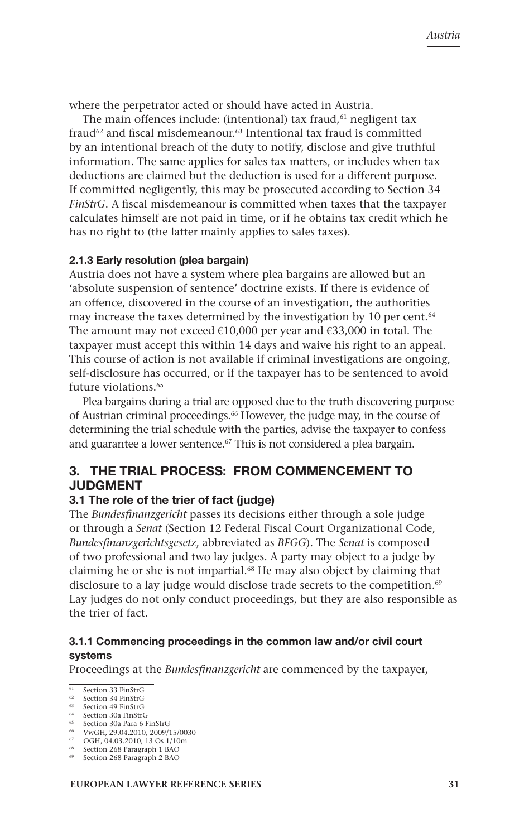where the perpetrator acted or should have acted in Austria.

The main offences include: (intentional) tax fraud, $61$  negligent tax fraud<sup>62</sup> and fiscal misdemeanour.<sup>63</sup> Intentional tax fraud is committed by an intentional breach of the duty to notify, disclose and give truthful information. The same applies for sales tax matters, or includes when tax deductions are claimed but the deduction is used for a different purpose. If committed negligently, this may be prosecuted according to Section 34 *FinStrG*. A fiscal misdemeanour is committed when taxes that the taxpayer calculates himself are not paid in time, or if he obtains tax credit which he has no right to (the latter mainly applies to sales taxes).

#### **2.1.3 Early resolution (plea bargain)**

Austria does not have a system where plea bargains are allowed but an 'absolute suspension of sentence' doctrine exists. If there is evidence of an offence, discovered in the course of an investigation, the authorities may increase the taxes determined by the investigation by 10 per cent.<sup>64</sup> The amount may not exceed  $€10,000$  per year and  $€33,000$  in total. The taxpayer must accept this within 14 days and waive his right to an appeal. This course of action is not available if criminal investigations are ongoing, self-disclosure has occurred, or if the taxpayer has to be sentenced to avoid future violations.<sup>65</sup>

Plea bargains during a trial are opposed due to the truth discovering purpose of Austrian criminal proceedings.<sup>66</sup> However, the judge may, in the course of determining the trial schedule with the parties, advise the taxpayer to confess and guarantee a lower sentence.<sup>67</sup> This is not considered a plea bargain.

## **3. THE TRIAL PROCESS: FrOM COMMENCEMENT TO JUDGMENT**

#### **3.1 The role of the trier of fact (judge)**

The *Bundesfinanzgericht* passes its decisions either through a sole judge or through a *Senat* (Section 12 Federal Fiscal Court Organizational Code, *Bundesfinanzgerichtsgesetz*, abbreviated as *BFGG*). The *Senat* is composed of two professional and two lay judges. A party may object to a judge by claiming he or she is not impartial.68 He may also object by claiming that disclosure to a lay judge would disclose trade secrets to the competition.<sup>69</sup> Lay judges do not only conduct proceedings, but they are also responsible as the trier of fact.

## **3.1.1 Commencing proceedings in the common law and/or civil court systems**

Proceedings at the *Bundesfinanzgericht* are commenced by the taxpayer,

 $\frac{61}{62}$  Section 33 FinStrG

Section 34 FinStrG

<sup>63</sup> Section 49 FinStrG <sup>64</sup> Section 30a FinStrG

Section 30a Para 6 FinStrG

<sup>66</sup> VwGH, 29.04.2010, 2009/15/0030

<sup>67</sup> OGH, 04.03.2010, 13 Os 1/10m

Section 268 Paragraph 1 BAO

<sup>69</sup> Section 268 Paragraph 2 BAO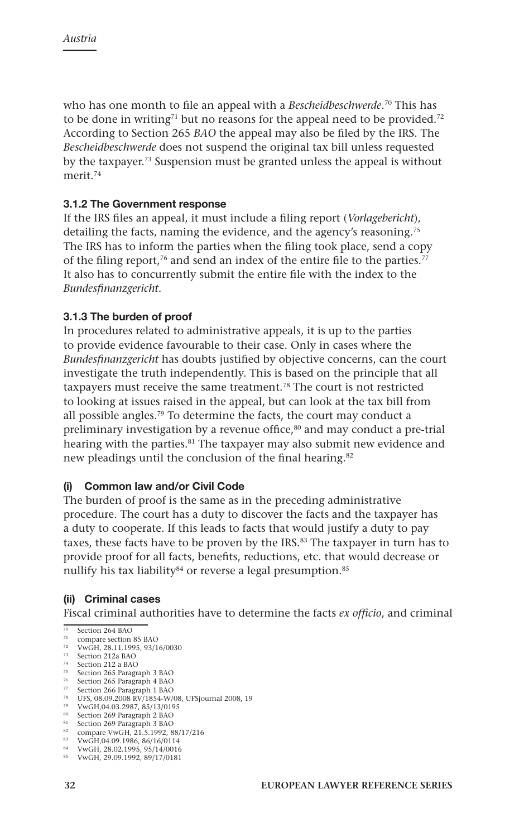who has one month to file an appeal with a *Bescheidbeschwerde*. 70 This has to be done in writing<sup>71</sup> but no reasons for the appeal need to be provided.<sup>72</sup> According to Section 265 *BAO* the appeal may also be filed by the IRS. The *Bescheidbeschwerde* does not suspend the original tax bill unless requested by the taxpayer.73 Suspension must be granted unless the appeal is without merit<sup>74</sup>

## **3.1.2 The Government response**

If the IRS files an appeal, it must include a filing report (*Vorlagebericht*), detailing the facts, naming the evidence, and the agency's reasoning.75 The IRS has to inform the parties when the filing took place, send a copy of the filing report,<sup>76</sup> and send an index of the entire file to the parties.<sup>77</sup> It also has to concurrently submit the entire file with the index to the *Bundesfinanzgericht*.

### **3.1.3 The burden of proof**

In procedures related to administrative appeals, it is up to the parties to provide evidence favourable to their case. Only in cases where the *Bundesfinanzgericht* has doubts justified by objective concerns, can the court investigate the truth independently. This is based on the principle that all taxpayers must receive the same treatment.78 The court is not restricted to looking at issues raised in the appeal, but can look at the tax bill from all possible angles.79 To determine the facts, the court may conduct a preliminary investigation by a revenue office,<sup>80</sup> and may conduct a pre-trial hearing with the parties.<sup>81</sup> The taxpayer may also submit new evidence and new pleadings until the conclusion of the final hearing.<sup>82</sup>

#### **(i) Common law and/or Civil Code**

The burden of proof is the same as in the preceding administrative procedure. The court has a duty to discover the facts and the taxpayer has a duty to cooperate. If this leads to facts that would justify a duty to pay taxes, these facts have to be proven by the IRS.<sup>83</sup> The taxpayer in turn has to provide proof for all facts, benefits, reductions, etc. that would decrease or nullify his tax liability<sup>84</sup> or reverse a legal presumption.<sup>85</sup>

## **(ii) Criminal cases**

Fiscal criminal authorities have to determine the facts *ex officio*, and criminal

<sup>70</sup> Section 264 BAO

<sup>&</sup>lt;sup>71</sup> compare section 85 BAO<br><sup>72</sup> VwGH, 28.11.1995, 93/16/0030

<sup>73</sup> Section 212a BAO

<sup>&</sup>lt;sup>74</sup> Section 212 a BAO<br><sup>75</sup> Section 265 Paragraph 3 BAO

<sup>&</sup>lt;sup>76</sup> Section 265 Paragraph 4 BAO<br><sup>77</sup> Section 266 Paragraph 1 BAO

<sup>78</sup> UFS, 08.09.2008 RV/1854-W/08, UFSjournal 2008, 19

<sup>79</sup> VwGH,04.03.2987, 85/13/0195

<sup>80</sup> Section 269 Paragraph 2 BAO

<sup>81</sup> Section 269 Paragraph 3 BAO <sup>82</sup> compare VwGH, 21.5.1992, 88/17/216

<sup>83</sup> VwGH,04.09.1986, 86/16/0114

<sup>84</sup> VwGH, 28.02.1995, 95/14/0016

<sup>85</sup> VwGH, 29.09.1992, 89/17/0181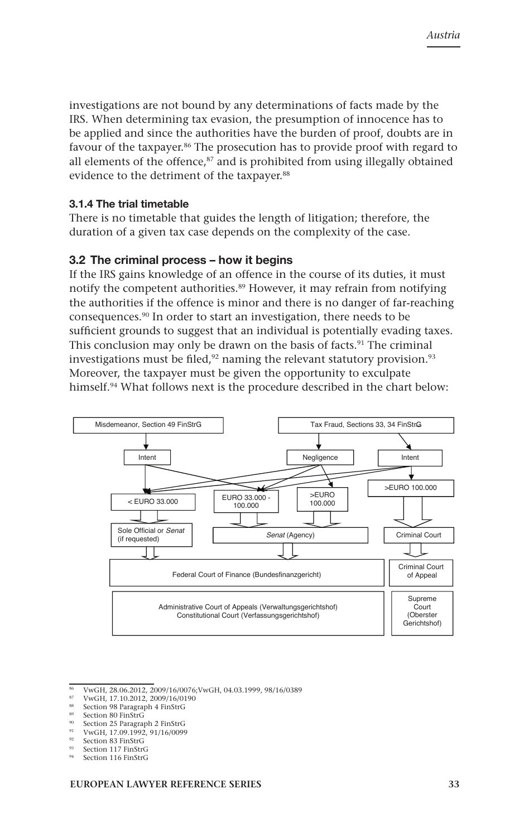investigations are not bound by any determinations of facts made by the IRS. When determining tax evasion, the presumption of innocence has to be applied and since the authorities have the burden of proof, doubts are in favour of the taxpayer.<sup>86</sup> The prosecution has to provide proof with regard to all elements of the offence,<sup>87</sup> and is prohibited from using illegally obtained evidence to the detriment of the taxpayer.<sup>88</sup>

#### **3.1.4 The trial timetable**

There is no timetable that guides the length of litigation; therefore, the duration of a given tax case depends on the complexity of the case.

### **3.2 The criminal process – how it begins**

If the IRS gains knowledge of an offence in the course of its duties, it must notify the competent authorities.89 However, it may refrain from notifying the authorities if the offence is minor and there is no danger of far-reaching consequences.90 In order to start an investigation, there needs to be sufficient grounds to suggest that an individual is potentially evading taxes. This conclusion may only be drawn on the basis of facts.<sup>91</sup> The criminal investigations must be filed, $92$  naming the relevant statutory provision. $93$ Moreover, the taxpayer must be given the opportunity to exculpate himself.<sup>94</sup> What follows next is the procedure described in the chart below:



 $\frac{86}{100}$  VwGH, 28.06.2012, 2009/16/0076; VwGH, 04.03.1999, 98/16/0389

- <sup>87</sup> VwGH, 17.10.2012, 2009/16/0190
- 88 Section 98 Paragraph 4 FinStrG

- Section 25 Paragraph 2 FinStrG
- <sup>91</sup> VwGH, 17.09.1992, 91/16/0099
- Section 83 FinStrG
- Section 117 FinStrG
- Section 116 FinStrG

Section 80 FinStrG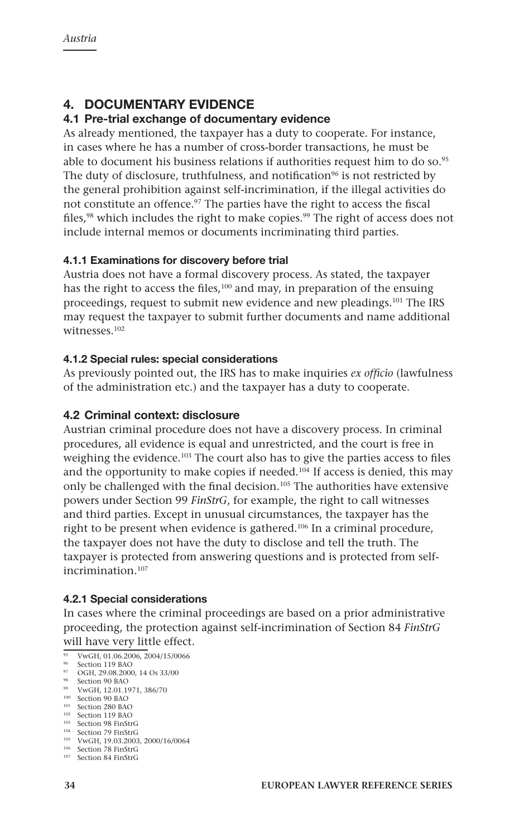# **4. DoCUMENTARY EVIDENCE**

## **4.1 Pre-trial exchange of documentary evidence**

As already mentioned, the taxpayer has a duty to cooperate. For instance, in cases where he has a number of cross-border transactions, he must be able to document his business relations if authorities request him to do so.95 The duty of disclosure, truthfulness, and notification<sup>96</sup> is not restricted by the general prohibition against self-incrimination, if the illegal activities do not constitute an offence.97 The parties have the right to access the fiscal files,<sup>98</sup> which includes the right to make copies.<sup>99</sup> The right of access does not include internal memos or documents incriminating third parties.

## **4.1.1 Examinations for discovery before trial**

Austria does not have a formal discovery process. As stated, the taxpayer has the right to access the files,<sup>100</sup> and may, in preparation of the ensuing proceedings, request to submit new evidence and new pleadings.101 The IRS may request the taxpayer to submit further documents and name additional witnesses<sup>102</sup>

## **4.1.2 Special rules: special considerations**

As previously pointed out, the IRS has to make inquiries *ex officio* (lawfulness of the administration etc.) and the taxpayer has a duty to cooperate.

## **4.2 Criminal context: disclosure**

Austrian criminal procedure does not have a discovery process. In criminal procedures, all evidence is equal and unrestricted, and the court is free in weighing the evidence.<sup>103</sup> The court also has to give the parties access to files and the opportunity to make copies if needed.<sup>104</sup> If access is denied, this may only be challenged with the final decision.<sup>105</sup> The authorities have extensive powers under Section 99 *FinStrG*, for example, the right to call witnesses and third parties. Except in unusual circumstances, the taxpayer has the right to be present when evidence is gathered.106 In a criminal procedure, the taxpayer does not have the duty to disclose and tell the truth. The taxpayer is protected from answering questions and is protected from selfincrimination.107

## **4.2.1 Special considerations**

In cases where the criminal proceedings are based on a prior administrative proceeding, the protection against self-incrimination of Section 84 *FinStrG*  will have very little effect.

<sup>98</sup> Section 90 BAO<br><sup>99</sup> VwGH, 12.01.1971, 386/70

<sup>&</sup>lt;sup>95</sup> VwGH, 01.06.2006, 2004/15/0066

<sup>&</sup>lt;sup>96</sup> Section 119 BAO

<sup>97</sup> OGH, 29.08.2000, 14 Os 33/00

 $100$  Section 90 BAO

<sup>&</sup>lt;sup>101</sup> Section 280 BAO

<sup>&</sup>lt;sup>102</sup> Section 119 BAO

<sup>&</sup>lt;sup>103</sup> Section 98 FinStrG

<sup>104</sup> Section 79 FinStrG

<sup>105</sup> VwGH, 19.03.2003, 2000/16/0064

<sup>106</sup> Section 78 FinStrG

<sup>107</sup> Section 84 FinStrG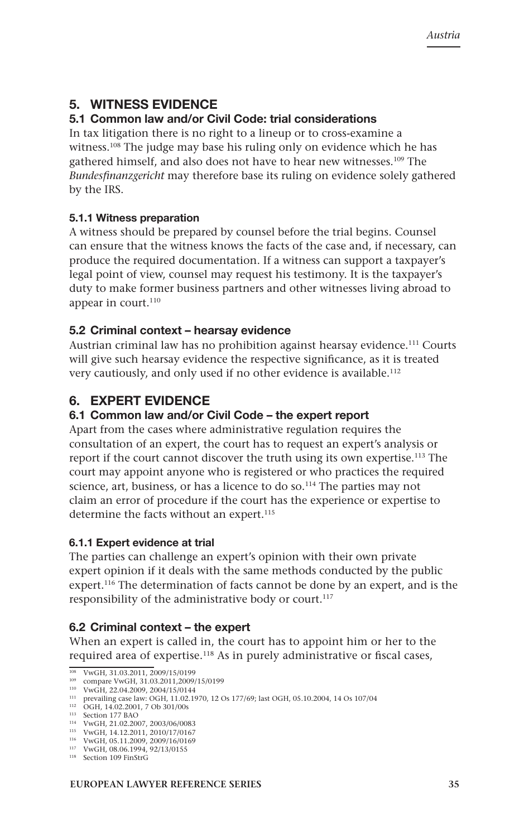# **5. WITNESS EVIDENCE**

# **5.1 Common law and/or Civil Code: trial considerations**

In tax litigation there is no right to a lineup or to cross-examine a witness.<sup>108</sup> The judge may base his ruling only on evidence which he has gathered himself, and also does not have to hear new witnesses.109 The *Bundesfinanzgericht* may therefore base its ruling on evidence solely gathered by the IRS.

## **5.1.1 Witness preparation**

A witness should be prepared by counsel before the trial begins. Counsel can ensure that the witness knows the facts of the case and, if necessary, can produce the required documentation. If a witness can support a taxpayer's legal point of view, counsel may request his testimony. It is the taxpayer's duty to make former business partners and other witnesses living abroad to appear in court.<sup>110</sup>

## **5.2 Criminal context – hearsay evidence**

Austrian criminal law has no prohibition against hearsay evidence.111 Courts will give such hearsay evidence the respective significance, as it is treated very cautiously, and only used if no other evidence is available.<sup>112</sup>

# **6. EXPERT EVIDENCE**

## **6.1 Common law and/or Civil Code – the expert report**

Apart from the cases where administrative regulation requires the consultation of an expert, the court has to request an expert's analysis or report if the court cannot discover the truth using its own expertise.113 The court may appoint anyone who is registered or who practices the required science, art, business, or has a licence to do so.<sup>114</sup> The parties may not claim an error of procedure if the court has the experience or expertise to determine the facts without an expert.<sup>115</sup>

## **6.1.1 Expert evidence at trial**

The parties can challenge an expert's opinion with their own private expert opinion if it deals with the same methods conducted by the public expert.116 The determination of facts cannot be done by an expert, and is the responsibility of the administrative body or court.<sup>117</sup>

## **6.2 Criminal context – the expert**

When an expert is called in, the court has to appoint him or her to the required area of expertise.118 As in purely administrative or fiscal cases,

<sup>108</sup> VwGH, 31.03.2011, 2009/15/0199

<sup>109</sup> compare VwGH, 31.03.2011,2009/15/0199

<sup>110</sup> VwGH, 22.04.2009, 2004/15/0144

<sup>111</sup> prevailing case law: OGH, 11.02.1970, 12 Os 177/69; last OGH, 05.10.2004, 14 Os 107/04 <sup>112</sup> OGH, 14.02.2001, 7 Ob 301/00s

<sup>113</sup> Section 177 BAO

<sup>114</sup> VwGH, 21.02.2007, 2003/06/0083

<sup>115</sup> VwGH, 14.12.2011, 2010/17/0167

<sup>116</sup> VwGH, 05.11.2009, 2009/16/0169

<sup>117</sup> VwGH, 08.06.1994, 92/13/0155 <sup>118</sup> Section 109 FinStrG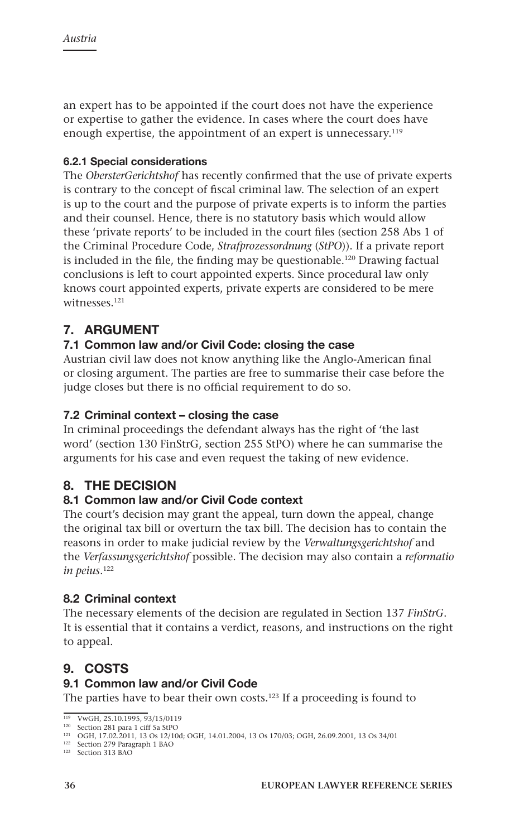an expert has to be appointed if the court does not have the experience or expertise to gather the evidence. In cases where the court does have enough expertise, the appointment of an expert is unnecessary.119

## **6.2.1 Special considerations**

The *ObersterGerichtshof* has recently confirmed that the use of private experts is contrary to the concept of fiscal criminal law. The selection of an expert is up to the court and the purpose of private experts is to inform the parties and their counsel. Hence, there is no statutory basis which would allow these 'private reports' to be included in the court files (section 258 Abs 1 of the Criminal Procedure Code, *Strafprozessordnung* (*StPO*)). If a private report is included in the file, the finding may be questionable.<sup>120</sup> Drawing factual conclusions is left to court appointed experts. Since procedural law only knows court appointed experts, private experts are considered to be mere witnesses<sup>121</sup>

# **7. ARGUMENT**

# **7.1 Common law and/or Civil Code: closing the case**

Austrian civil law does not know anything like the Anglo-American final or closing argument. The parties are free to summarise their case before the judge closes but there is no official requirement to do so.

# **7.2 Criminal context – closing the case**

In criminal proceedings the defendant always has the right of 'the last word' (section 130 FinStrG, section 255 StPO) where he can summarise the arguments for his case and even request the taking of new evidence.

# **8. THE DECISION**

# **8.1 Common law and/or Civil Code context**

The court's decision may grant the appeal, turn down the appeal, change the original tax bill or overturn the tax bill. The decision has to contain the reasons in order to make judicial review by the *Verwaltungsgerichtshof* and the *Verfassungsgerichtshof* possible. The decision may also contain a *reformatio in peius*. 122

# **8.2 Criminal context**

The necessary elements of the decision are regulated in Section 137 *FinStrG*. It is essential that it contains a verdict, reasons, and instructions on the right to appeal.

# **9. COSTS**

## **9.1 Common law and/or Civil Code**

The parties have to bear their own costs.123 If a proceeding is found to

<sup>119</sup> VwGH, 25.10.1995, 93/15/0119

<sup>&</sup>lt;sup>120</sup> Section 281 para 1 ciff 5a StPO<br><sup>121</sup> OGH, 17.02.2011, 13 Os 12/10d; OGH, 14.01.2004, 13 Os 170/03; OGH, 26.09.2001, 13 Os 34/01

<sup>122</sup> Section 279 Paragraph 1 BAO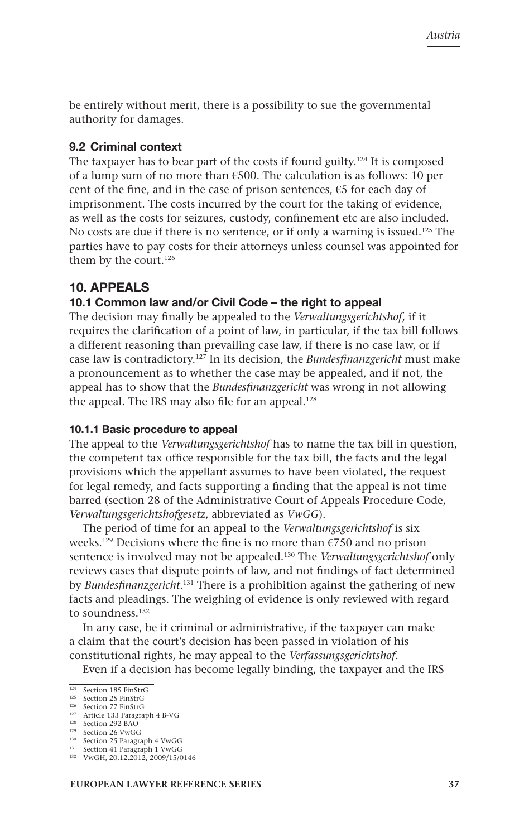be entirely without merit, there is a possibility to sue the governmental authority for damages.

#### **9.2 Criminal context**

The taxpayer has to bear part of the costs if found guilty.<sup>124</sup> It is composed of a lump sum of no more than  $\epsilon$ 500. The calculation is as follows: 10 per cent of the fine, and in the case of prison sentences,  $\epsilon$ 5 for each day of imprisonment. The costs incurred by the court for the taking of evidence, as well as the costs for seizures, custody, confinement etc are also included. No costs are due if there is no sentence, or if only a warning is issued.125 The parties have to pay costs for their attorneys unless counsel was appointed for them by the court.<sup>126</sup>

## **10. APPEALS**

### **10.1 Common law and/or Civil Code – the right to appeal**

The decision may finally be appealed to the *Verwaltungsgerichtshof*, if it requires the clarification of a point of law, in particular, if the tax bill follows a different reasoning than prevailing case law, if there is no case law, or if case law is contradictory.127 In its decision, the *Bundesfinanzgericht* must make a pronouncement as to whether the case may be appealed, and if not, the appeal has to show that the *Bundesfinanzgericht* was wrong in not allowing the appeal. The IRS may also file for an appeal.<sup>128</sup>

#### **10.1.1 Basic procedure to appeal**

The appeal to the *Verwaltungsgerichtshof* has to name the tax bill in question, the competent tax office responsible for the tax bill, the facts and the legal provisions which the appellant assumes to have been violated, the request for legal remedy, and facts supporting a finding that the appeal is not time barred (section 28 of the Administrative Court of Appeals Procedure Code, *Verwaltungsgerichtshofgesetz*, abbreviated as *VwGG*).

The period of time for an appeal to the *Verwaltungsgerichtshof* is six weeks.<sup>129</sup> Decisions where the fine is no more than  $\epsilon$ 750 and no prison sentence is involved may not be appealed.130 The *Verwaltungsgerichtshof* only reviews cases that dispute points of law, and not findings of fact determined by *Bundesfinanzgericht*. 131 There is a prohibition against the gathering of new facts and pleadings. The weighing of evidence is only reviewed with regard to soundness.<sup>132</sup>

In any case, be it criminal or administrative, if the taxpayer can make a claim that the court's decision has been passed in violation of his constitutional rights, he may appeal to the *Verfassungsgerichtshof*.

Even if a decision has become legally binding, the taxpayer and the IRS

<sup>&</sup>lt;sup>124</sup> Section 185 FinStrG

<sup>125</sup> Section 25 FinStrG

<sup>&</sup>lt;sup>126</sup> Section 77 FinStrG

<sup>127</sup> Article 133 Paragraph 4 B-VG 128 Section 292 BAO

<sup>129</sup> Section 26 VwGG

<sup>130</sup> Section 25 Paragraph 4 VwGG <sup>131</sup> Section 41 Paragraph 1 VwGG

<sup>132</sup> VwGH, 20.12.2012, 2009/15/0146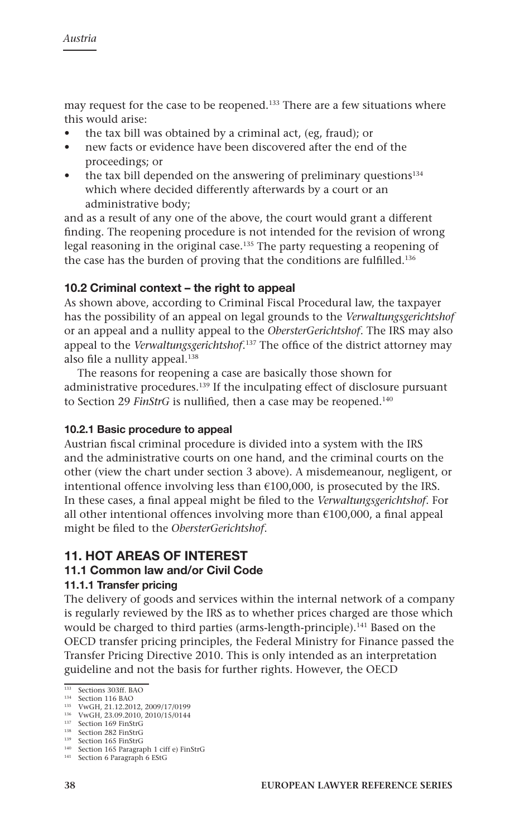may request for the case to be reopened.133 There are a few situations where this would arise:

- the tax bill was obtained by a criminal act, (eg, fraud); or
- new facts or evidence have been discovered after the end of the proceedings; or
- the tax bill depended on the answering of preliminary questions<sup>134</sup> which where decided differently afterwards by a court or an administrative body;

and as a result of any one of the above, the court would grant a different finding. The reopening procedure is not intended for the revision of wrong legal reasoning in the original case.135 The party requesting a reopening of the case has the burden of proving that the conditions are fulfilled.<sup>136</sup>

## **10.2 Criminal context – the right to appeal**

As shown above, according to Criminal Fiscal Procedural law, the taxpayer has the possibility of an appeal on legal grounds to the *Verwaltungsgerichtshof*  or an appeal and a nullity appeal to the *ObersterGerichtshof*. The IRS may also appeal to the *Verwaltungsgerichtshof*. 137 The office of the district attorney may also file a nullity appeal.<sup>138</sup>

The reasons for reopening a case are basically those shown for administrative procedures.139 If the inculpating effect of disclosure pursuant to Section 29 *FinStrG* is nullified, then a case may be reopened.<sup>140</sup>

## **10.2.1 Basic procedure to appeal**

Austrian fiscal criminal procedure is divided into a system with the IRS and the administrative courts on one hand, and the criminal courts on the other (view the chart under section 3 above). A misdemeanour, negligent, or intentional offence involving less than  $£100,000$ , is prosecuted by the IRS. In these cases, a final appeal might be filed to the *Verwaltungsgerichtshof*. For all other intentional offences involving more than  $€100,000$ , a final appeal might be filed to the *ObersterGerichtshof*.

# **11. HOT AREAS OF INTEREST**

## **11.1 Common law and/or Civil Code**

#### **11.1.1 Transfer pricing**

The delivery of goods and services within the internal network of a company is regularly reviewed by the IRS as to whether prices charged are those which would be charged to third parties (arms-length-principle).<sup>141</sup> Based on the OECD transfer pricing principles, the Federal Ministry for Finance passed the Transfer Pricing Directive 2010. This is only intended as an interpretation guideline and not the basis for further rights. However, the OECD

<sup>133</sup> Sections 303ff. BAO

<sup>134</sup> Section 116 BAO

<sup>135</sup> VwGH, 21.12.2012, 2009/17/0199

<sup>136</sup> VwGH, 23.09.2010, 2010/15/0144

<sup>137</sup> Section 169 FinStrG <sup>138</sup> Section 282 FinStrG

<sup>139</sup> Section 165 FinStrG

<sup>140</sup> Section 165 Paragraph 1 ciff e) FinStrG

<sup>141</sup> Section 6 Paragraph 6 EStG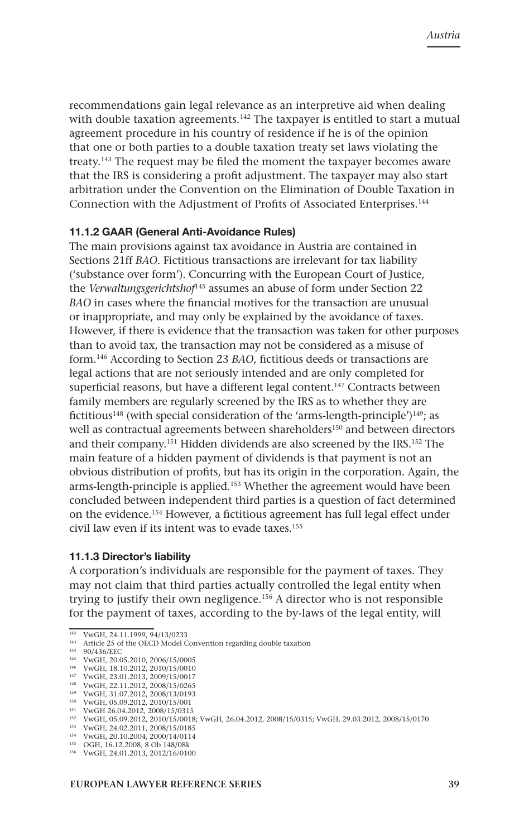recommendations gain legal relevance as an interpretive aid when dealing with double taxation agreements.<sup>142</sup> The taxpayer is entitled to start a mutual agreement procedure in his country of residence if he is of the opinion that one or both parties to a double taxation treaty set laws violating the treaty.143 The request may be filed the moment the taxpayer becomes aware that the IRS is considering a profit adjustment. The taxpayer may also start arbitration under the Convention on the Elimination of Double Taxation in Connection with the Adjustment of Profits of Associated Enterprises.144

#### **11.1.2 GAAR (General Anti-Avoidance Rules)**

The main provisions against tax avoidance in Austria are contained in Sections 21ff *BAO*. Fictitious transactions are irrelevant for tax liability ('substance over form'). Concurring with the European Court of Justice, the *Verwaltungsgerichtshof*145 assumes an abuse of form under Section 22 *BAO* in cases where the financial motives for the transaction are unusual or inappropriate, and may only be explained by the avoidance of taxes. However, if there is evidence that the transaction was taken for other purposes than to avoid tax, the transaction may not be considered as a misuse of form.146 According to Section 23 *BAO*, fictitious deeds or transactions are legal actions that are not seriously intended and are only completed for superficial reasons, but have a different legal content.<sup>147</sup> Contracts between family members are regularly screened by the IRS as to whether they are fictitious<sup>148</sup> (with special consideration of the 'arms-length-principle')<sup>149</sup>; as well as contractual agreements between shareholders<sup>150</sup> and between directors and their company.151 Hidden dividends are also screened by the IRS.152 The main feature of a hidden payment of dividends is that payment is not an obvious distribution of profits, but has its origin in the corporation. Again, the arms-length-principle is applied.153 Whether the agreement would have been concluded between independent third parties is a question of fact determined on the evidence.154 However, a fictitious agreement has full legal effect under civil law even if its intent was to evade taxes.<sup>155</sup>

#### **11.1.3 Director's liability**

A corporation's individuals are responsible for the payment of taxes. They may not claim that third parties actually controlled the legal entity when trying to justify their own negligence.156 A director who is not responsible for the payment of taxes, according to the by-laws of the legal entity, will

<sup>142</sup> VwGH, 24.11.1999, 94/13/0233

<sup>143</sup> Article 25 of the OECD Model Convention regarding double taxation

<sup>144</sup> 90/436/EEC

<sup>145</sup> VwGH, 20.05.2010, 2006/15/0005

<sup>146</sup> VwGH, 18.10.2012, 2010/15/0010

<sup>147</sup> VwGH, 23.01.2013, 2009/15/0017 <sup>148</sup> VwGH, 22.11.2012, 2008/15/0265

<sup>149</sup> VwGH, 31.07.2012, 2008/13/0193

<sup>150</sup> VwGH, 05.09.2012, 2010/15/001

<sup>151</sup> VwGH 26.04.2012, 2008/15/0315

<sup>152</sup> VwGH, 05.09.2012, 2010/15/0018; VwGH, 26.04.2012, 2008/15/0315; VwGH, 29.03.2012, 2008/15/0170

<sup>153</sup> VwGH, 24.02.2011, 2008/15/0185

<sup>154</sup> VwGH, 20.10.2004, 2000/14/0114

<sup>155</sup> OGH, 16.12.2008, 8 Ob 148/08k

<sup>156</sup> VwGH, 24.01.2013, 2012/16/0100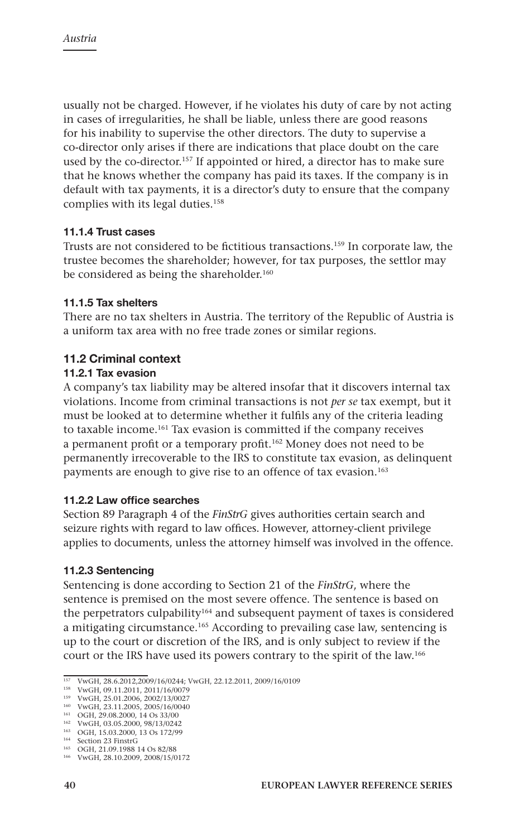usually not be charged. However, if he violates his duty of care by not acting in cases of irregularities, he shall be liable, unless there are good reasons for his inability to supervise the other directors. The duty to supervise a co-director only arises if there are indications that place doubt on the care used by the co-director.<sup>157</sup> If appointed or hired, a director has to make sure that he knows whether the company has paid its taxes. If the company is in default with tax payments, it is a director's duty to ensure that the company complies with its legal duties.158

#### **11.1.4 Trust cases**

Trusts are not considered to be fictitious transactions.159 In corporate law, the trustee becomes the shareholder; however, for tax purposes, the settlor may be considered as being the shareholder.<sup>160</sup>

#### **11.1.5 Tax shelters**

There are no tax shelters in Austria. The territory of the Republic of Austria is a uniform tax area with no free trade zones or similar regions.

### **11.2 Criminal context**

#### **11.2.1 Tax evasion**

A company's tax liability may be altered insofar that it discovers internal tax violations. Income from criminal transactions is not *per se* tax exempt, but it must be looked at to determine whether it fulfils any of the criteria leading to taxable income.161 Tax evasion is committed if the company receives a permanent profit or a temporary profit.162 Money does not need to be permanently irrecoverable to the IRS to constitute tax evasion, as delinquent payments are enough to give rise to an offence of tax evasion.<sup>163</sup>

#### **11.2.2 Law office searches**

Section 89 Paragraph 4 of the *FinStrG* gives authorities certain search and seizure rights with regard to law offices. However, attorney-client privilege applies to documents, unless the attorney himself was involved in the offence.

#### **11.2.3 Sentencing**

Sentencing is done according to Section 21 of the *FinStrG*, where the sentence is premised on the most severe offence. The sentence is based on the perpetrators culpability<sup>164</sup> and subsequent payment of taxes is considered a mitigating circumstance.165 According to prevailing case law, sentencing is up to the court or discretion of the IRS, and is only subject to review if the court or the IRS have used its powers contrary to the spirit of the law.166

<sup>157</sup> VwGH, 28.6.2012,2009/16/0244; VwGH, 22.12.2011, 2009/16/0109

<sup>158</sup> VwGH, 09.11.2011, 2011/16/0079

<sup>159</sup> VwGH, 25.01.2006, 2002/13/0027 <sup>160</sup> VwGH, 23.11.2005, 2005/16/0040

<sup>161</sup> OGH, 29.08.2000, 14 Os 33/00

<sup>162</sup> VwGH, 03.05.2000, 98/13/0242 <sup>163</sup> OGH, 15.03.2000, 13 Os 172/99

<sup>164</sup> Section 23 FinstrG

<sup>165</sup> OGH, 21.09.1988 14 Os 82/88

<sup>166</sup> VwGH, 28.10.2009, 2008/15/0172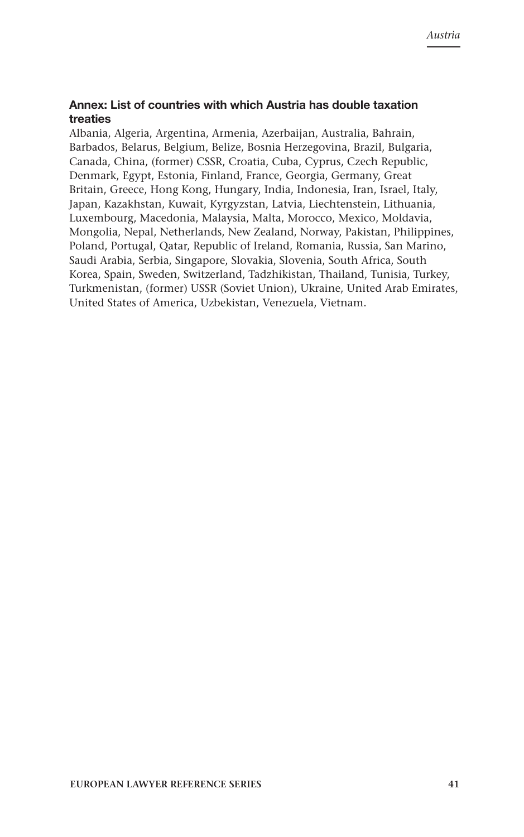### **Annex: List of countries with which Austria has double taxation treaties**

Albania, Algeria, Argentina, Armenia, Azerbaijan, Australia, Bahrain, Barbados, Belarus, Belgium, Belize, Bosnia Herzegovina, Brazil, Bulgaria, Canada, China, (former) CSSR, Croatia, Cuba, Cyprus, Czech Republic, Denmark, Egypt, Estonia, Finland, France, Georgia, Germany, Great Britain, Greece, Hong Kong, Hungary, India, Indonesia, Iran, Israel, Italy, Japan, Kazakhstan, Kuwait, Kyrgyzstan, Latvia, Liechtenstein, Lithuania, Luxembourg, Macedonia, Malaysia, Malta, Morocco, Mexico, Moldavia, Mongolia, Nepal, Netherlands, New Zealand, Norway, Pakistan, Philippines, Poland, Portugal, Qatar, Republic of Ireland, Romania, Russia, San Marino, Saudi Arabia, Serbia, Singapore, Slovakia, Slovenia, South Africa, South Korea, Spain, Sweden, Switzerland, Tadzhikistan, Thailand, Tunisia, Turkey, Turkmenistan, (former) USSR (Soviet Union), Ukraine, United Arab Emirates, United States of America, Uzbekistan, Venezuela, Vietnam.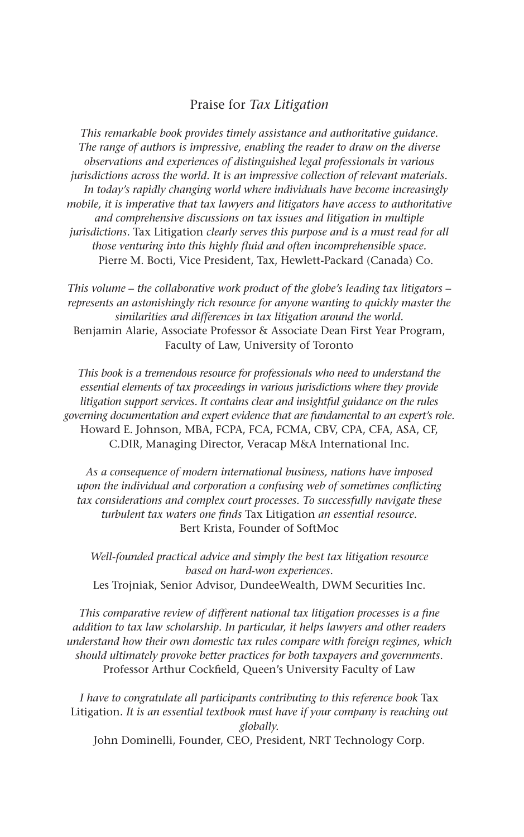## Praise for *Tax Litigation*

*This remarkable book provides timely assistance and authoritative guidance. The range of authors is impressive, enabling the reader to draw on the diverse observations and experiences of distinguished legal professionals in various jurisdictions across the world. It is an impressive collection of relevant materials. In today's rapidly changing world where individuals have become increasingly mobile, it is imperative that tax lawyers and litigators have access to authoritative and comprehensive discussions on tax issues and litigation in multiple jurisdictions.* Tax Litigation *clearly serves this purpose and is a must read for all those venturing into this highly fluid and often incomprehensible space.* Pierre M. Bocti, Vice President, Tax, Hewlett-Packard (Canada) Co.

*This volume – the collaborative work product of the globe's leading tax litigators – represents an astonishingly rich resource for anyone wanting to quickly master the similarities and differences in tax litigation around the world.* Benjamin Alarie, Associate Professor & Associate Dean First Year Program, Faculty of Law, University of Toronto

*This book is a tremendous resource for professionals who need to understand the essential elements of tax proceedings in various jurisdictions where they provide litigation support services. It contains clear and insightful guidance on the rules governing documentation and expert evidence that are fundamental to an expert's role.* Howard E. Johnson, MBA, FCPA, FCA, FCMA, CBV, CPA, CFA, ASA, CF, C.DIR, Managing Director, Veracap M&A International Inc.

*As a consequence of modern international business, nations have imposed upon the individual and corporation a confusing web of sometimes conflicting tax considerations and complex court processes. To successfully navigate these turbulent tax waters one finds* Tax Litigation *an essential resource.* Bert Krista, Founder of SoftMoc

*Well-founded practical advice and simply the best tax litigation resource based on hard-won experiences.* Les Trojniak, Senior Advisor, DundeeWealth, DWM Securities Inc.

*This comparative review of different national tax litigation processes is a fine addition to tax law scholarship. In particular, it helps lawyers and other readers understand how their own domestic tax rules compare with foreign regimes, which should ultimately provoke better practices for both taxpayers and governments.* Professor Arthur Cockfield, Queen's University Faculty of Law

I have to congratulate all participants contributing to this reference book Tax Litigation*. It is an essential textbook must have if your company is reaching out globally.*

John Dominelli, Founder, CEO, President, NRT Technology Corp.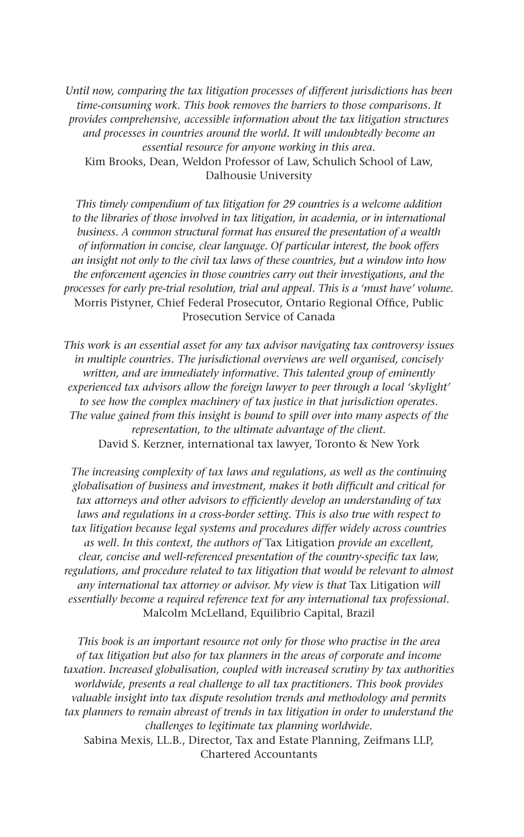*Until now, comparing the tax litigation processes of different jurisdictions has been time-consuming work. This book removes the barriers to those comparisons. It provides comprehensive, accessible information about the tax litigation structures and processes in countries around the world. It will undoubtedly become an essential resource for anyone working in this area.* Kim Brooks, Dean, Weldon Professor of Law, Schulich School of Law, Dalhousie University

*This timely compendium of tax litigation for 29 countries is a welcome addition to the libraries of those involved in tax litigation, in academia, or in international business. A common structural format has ensured the presentation of a wealth of information in concise, clear language. Of particular interest, the book offers an insight not only to the civil tax laws of these countries, but a window into how the enforcement agencies in those countries carry out their investigations, and the processes for early pre-trial resolution, trial and appeal. This is a 'must have' volume.* Morris Pistyner, Chief Federal Prosecutor, Ontario Regional Office, Public Prosecution Service of Canada

*This work is an essential asset for any tax advisor navigating tax controversy issues in multiple countries. The jurisdictional overviews are well organised, concisely written, and are immediately informative. This talented group of eminently experienced tax advisors allow the foreign lawyer to peer through a local 'skylight' to see how the complex machinery of tax justice in that jurisdiction operates. The value gained from this insight is bound to spill over into many aspects of the representation, to the ultimate advantage of the client.* David S. Kerzner, international tax lawyer, Toronto & New York

*The increasing complexity of tax laws and regulations, as well as the continuing globalisation of business and investment, makes it both difficult and critical for tax attorneys and other advisors to efficiently develop an understanding of tax laws and regulations in a cross-border setting. This is also true with respect to tax litigation because legal systems and procedures differ widely across countries as well. In this context, the authors of* Tax Litigation *provide an excellent, clear, concise and well-referenced presentation of the country-specific tax law, regulations, and procedure related to tax litigation that would be relevant to almost any international tax attorney or advisor. My view is that* Tax Litigation *will essentially become a required reference text for any international tax professional.*  Malcolm McLelland, Equilibrio Capital, Brazil

*This book is an important resource not only for those who practise in the area of tax litigation but also for tax planners in the areas of corporate and income taxation. Increased globalisation, coupled with increased scrutiny by tax authorities worldwide, presents a real challenge to all tax practitioners. This book provides valuable insight into tax dispute resolution trends and methodology and permits tax planners to remain abreast of trends in tax litigation in order to understand the challenges to legitimate tax planning worldwide.* Sabina Mexis, LL.B., Director, Tax and Estate Planning, Zeifmans LLP,

Chartered Accountants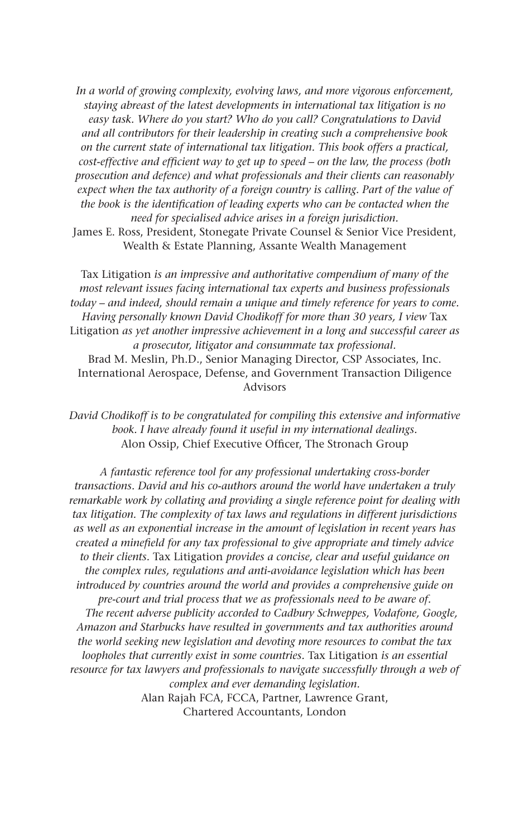*In a world of growing complexity, evolving laws, and more vigorous enforcement, staying abreast of the latest developments in international tax litigation is no easy task. Where do you start? Who do you call? Congratulations to David and all contributors for their leadership in creating such a comprehensive book on the current state of international tax litigation. This book offers a practical, cost-effective and efficient way to get up to speed – on the law, the process (both prosecution and defence) and what professionals and their clients can reasonably*  expect when the tax authority of a foreign country is calling. Part of the value of *the book is the identification of leading experts who can be contacted when the need for specialised advice arises in a foreign jurisdiction.*  James E. Ross, President, Stonegate Private Counsel & Senior Vice President,

Wealth & Estate Planning, Assante Wealth Management

Tax Litigation *is an impressive and authoritative compendium of many of the most relevant issues facing international tax experts and business professionals today – and indeed, should remain a unique and timely reference for years to come. Having personally known David Chodikoff for more than 30 years, I view* Tax Litigation *as yet another impressive achievement in a long and successful career as a prosecutor, litigator and consummate tax professional.*  Brad M. Meslin, Ph.D., Senior Managing Director, CSP Associates, Inc. International Aerospace, Defense, and Government Transaction Diligence Advisors

*David Chodikoff is to be congratulated for compiling this extensive and informative book. I have already found it useful in my international dealings.* Alon Ossip, Chief Executive Officer, The Stronach Group

*A fantastic reference tool for any professional undertaking cross-border transactions. David and his co-authors around the world have undertaken a truly remarkable work by collating and providing a single reference point for dealing with tax litigation. The complexity of tax laws and regulations in different jurisdictions as well as an exponential increase in the amount of legislation in recent years has created a minefield for any tax professional to give appropriate and timely advice to their clients.* Tax Litigation *provides a concise, clear and useful guidance on the complex rules, regulations and anti-avoidance legislation which has been introduced by countries around the world and provides a comprehensive guide on pre-court and trial process that we as professionals need to be aware of. The recent adverse publicity accorded to Cadbury Schweppes, Vodafone, Google, Amazon and Starbucks have resulted in governments and tax authorities around the world seeking new legislation and devoting more resources to combat the tax loopholes that currently exist in some countries.* Tax Litigation *is an essential resource for tax lawyers and professionals to navigate successfully through a web of complex and ever demanding legislation.*

Alan Rajah FCA, FCCA, Partner, Lawrence Grant, Chartered Accountants, London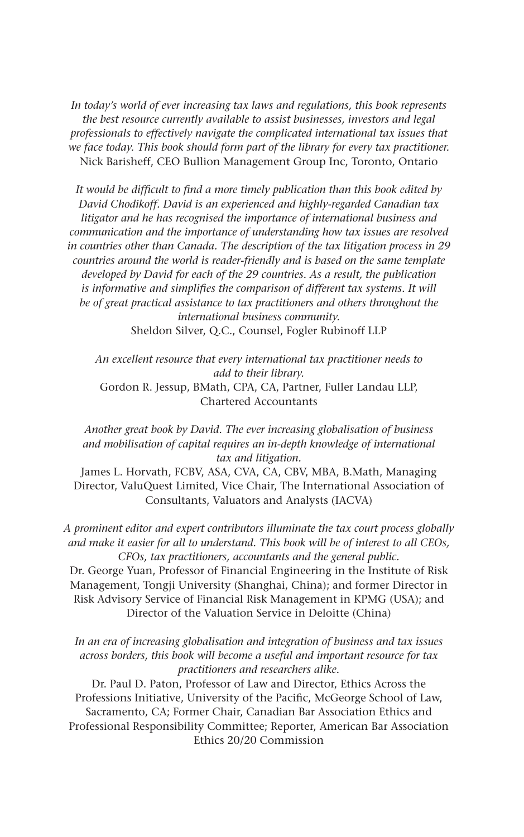*In today's world of ever increasing tax laws and regulations, this book represents the best resource currently available to assist businesses, investors and legal professionals to effectively navigate the complicated international tax issues that we face today. This book should form part of the library for every tax practitioner.* Nick Barisheff, CEO Bullion Management Group Inc, Toronto, Ontario

*It would be difficult to find a more timely publication than this book edited by David Chodikoff. David is an experienced and highly-regarded Canadian tax litigator and he has recognised the importance of international business and communication and the importance of understanding how tax issues are resolved in countries other than Canada. The description of the tax litigation process in 29 countries around the world is reader-friendly and is based on the same template developed by David for each of the 29 countries. As a result, the publication is informative and simplifies the comparison of different tax systems. It will be of great practical assistance to tax practitioners and others throughout the international business community.* Sheldon Silver, Q.C., Counsel, Fogler Rubinoff LLP

*An excellent resource that every international tax practitioner needs to add to their library.* Gordon R. Jessup, BMath, CPA, CA, Partner, Fuller Landau LLP, Chartered Accountants

*Another great book by David. The ever increasing globalisation of business and mobilisation of capital requires an in-depth knowledge of international tax and litigation.*

James L. Horvath, FCBV, ASA, CVA, CA, CBV, MBA, B.Math, Managing Director, ValuQuest Limited, Vice Chair, The International Association of Consultants, Valuators and Analysts (IACVA)

*A prominent editor and expert contributors illuminate the tax court process globally and make it easier for all to understand. This book will be of interest to all CEOs, CFOs, tax practitioners, accountants and the general public.*

Dr. George Yuan, Professor of Financial Engineering in the Institute of Risk Management, Tongji University (Shanghai, China); and former Director in Risk Advisory Service of Financial Risk Management in KPMG (USA); and Director of the Valuation Service in Deloitte (China)

*In an era of increasing globalisation and integration of business and tax issues across borders, this book will become a useful and important resource for tax practitioners and researchers alike.*

Dr. Paul D. Paton, Professor of Law and Director, Ethics Across the Professions Initiative, University of the Pacific, McGeorge School of Law, Sacramento, CA; Former Chair, Canadian Bar Association Ethics and Professional Responsibility Committee; Reporter, American Bar Association Ethics 20/20 Commission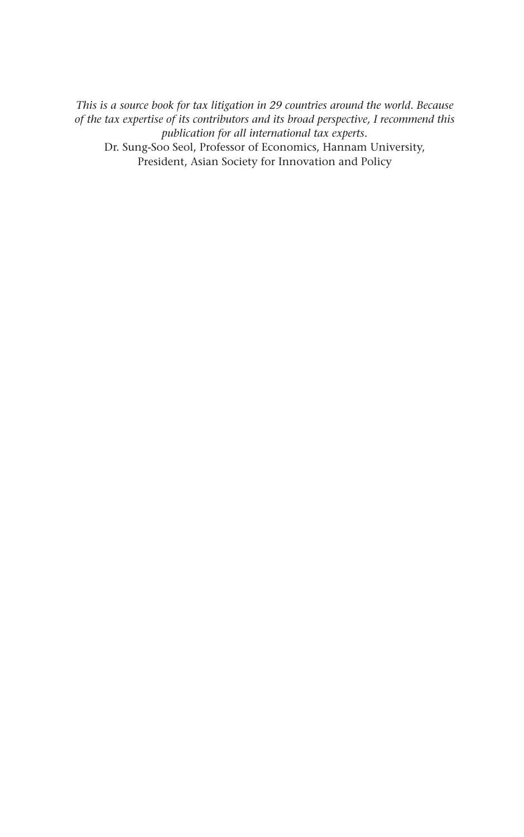*This is a source book for tax litigation in 29 countries around the world. Because of the tax expertise of its contributors and its broad perspective, I recommend this publication for all international tax experts.* Dr. Sung-Soo Seol, Professor of Economics, Hannam University, President, Asian Society for Innovation and Policy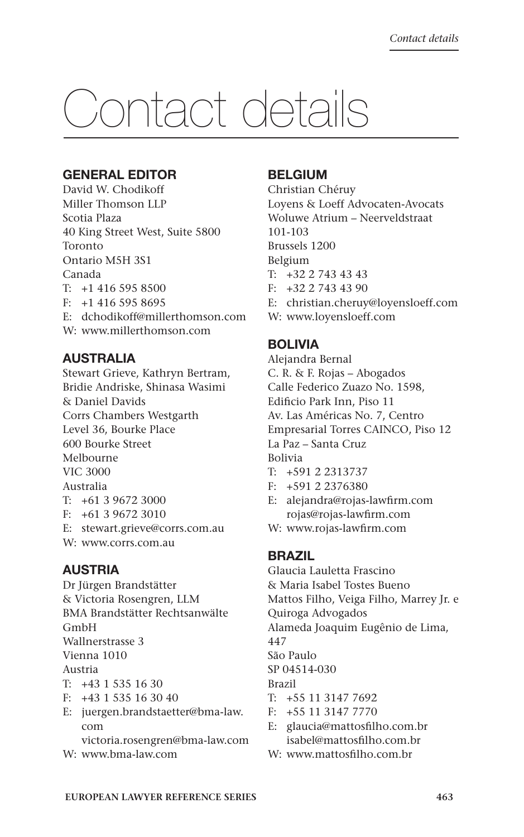# Contact details

# **General editor**

David W. Chodikoff Miller Thomson LLP Scotia Plaza 40 King Street West, Suite 5800 Toronto Ontario M5H 3S1 Canada  $T: +14165958500$ F: +1 416 595 8695 E: dchodikoff@millerthomson.com W: www.millerthomson.com

# **Australia**

Stewart Grieve, Kathryn Bertram, Bridie Andriske, Shinasa Wasimi & Daniel Davids Corrs Chambers Westgarth Level 36, Bourke Place 600 Bourke Street Melbourne VIC 3000 Australia T: +61 3 9672 3000 F: +61 3 9672 3010 E: stewart.grieve@corrs.com.au

W: www.corrs.com.au

# **Austria**

Dr Jürgen Brandstätter & Victoria Rosengren, LLM BMA Brandstätter Rechtsanwälte GmbH Wallnerstrasse 3 Vienna 1010 Austria T: +43 1 535 16 30 F: +43 1 535 16 30 40

E: juergen.brandstaetter@bma-law. com victoria.rosengren@bma-law.com

W: www.bma-law.com

# **Belgium**

Christian Chéruy Loyens & Loeff Advocaten-Avocats Woluwe Atrium – Neerveldstraat 101-103 Brussels 1200 Belgium T: +32 2 743 43 43 F: +32 2 743 43 90

- E: christian.cheruy@loyensloeff.com
- W: www.loyensloeff.com

# **Bolivia**

Alejandra Bernal C. R. & F. Rojas – Abogados Calle Federico Zuazo No. 1598, Edificio Park Inn, Piso 11 Av. Las Américas No. 7, Centro Empresarial Torres CAINCO, Piso 12 La Paz – Santa Cruz Bolivia

- T: +591 2 2313737
- F: +591 2 2376380
- E: alejandra@rojas-lawfirm.com rojas@rojas-lawfirm.com
- W: www.rojas-lawfirm.com

# **Brazil**

Glaucia Lauletta Frascino & Maria Isabel Tostes Bueno Mattos Filho, Veiga Filho, Marrey Jr. e Quiroga Advogados Alameda Joaquim Eugênio de Lima,

447

São Paulo

SP 04514-030

- Brazil
- T: +55 11 3147 7692
- F: +55 11 3147 7770
- E: glaucia@mattosfilho.com.br isabel@mattosfilho.com.br
- W: www.mattosfilho.com.br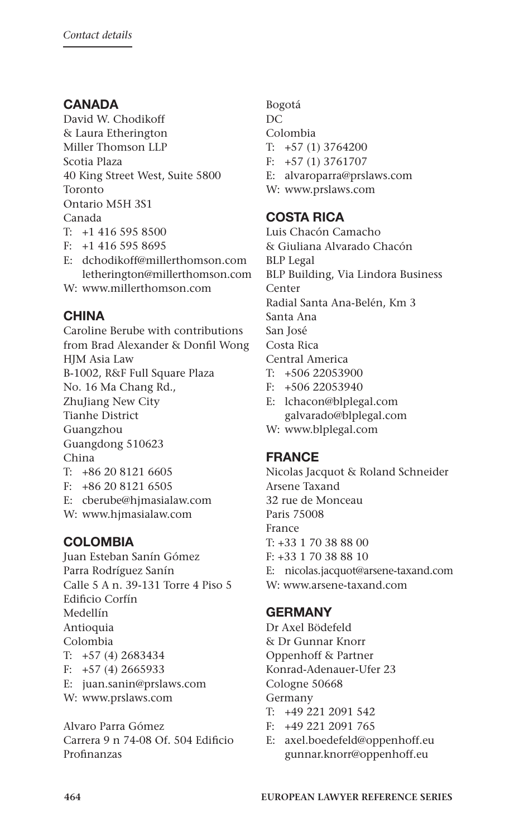# **Canada**

David W. Chodikoff & Laura Etherington Miller Thomson LLP Scotia Plaza 40 King Street West, Suite 5800 Toronto Ontario M5H 3S1 Canada T: +1 416 595 8500

- F: +1 416 595 8695
- E: dchodikoff@millerthomson.com letherington@millerthomson.com
- W: www.millerthomson.com

# **China**

Caroline Berube with contributions from Brad Alexander & Donfil Wong HJM Asia Law B-1002, R&F Full Square Plaza No. 16 Ma Chang Rd., ZhuJiang New City Tianhe District Guangzhou Guangdong 510623 China T: +86 20 8121 6605 F: +86 20 8121 6505 E: cberube@hjmasialaw.com W: www.hjmasialaw.com

# **Colombia**

Juan Esteban Sanín Gómez Parra Rodríguez Sanín Calle 5 A n. 39-131 Torre 4 Piso 5 Edificio Corfín Medellín Antioquia Colombia T: +57 (4) 2683434 F:  $+57$  (4) 2665933 E: juan.sanin@prslaws.com W: www.prslaws.com

Alvaro Parra Gómez Carrera 9 n 74-08 Of. 504 Edificio Profinanzas

Bogotá DC Colombia T: +57 (1) 3764200 F: +57 (1) 3761707 E: alvaroparra@prslaws.com W: www.prslaws.com

# **Costa Rica**

Luis Chacón Camacho & Giuliana Alvarado Chacón BLP Legal BLP Building, Via Lindora Business Center Radial Santa Ana-Belén, Km 3 Santa Ana San José Costa Rica Central America T: +506 22053900 F: +506 22053940

- E: lchacon@blplegal.com galvarado@blplegal.com
- W: www.blplegal.com

# **France**

Nicolas Jacquot & Roland Schneider Arsene Taxand 32 rue de Monceau Paris 75008 France T: +33 1 70 38 88 00 F: +33 1 70 38 88 10 E: nicolas.jacquot@arsene-taxand.com W: www.arsene-taxand.com

# **Germany**

Dr Axel Bödefeld & Dr Gunnar Knorr Oppenhoff & Partner Konrad-Adenauer-Ufer 23 Cologne 50668 Germany

- T: +49 221 2091 542
- F: +49 221 2091 765
- E: axel.boedefeld@oppenhoff.eu gunnar.knorr@oppenhoff.eu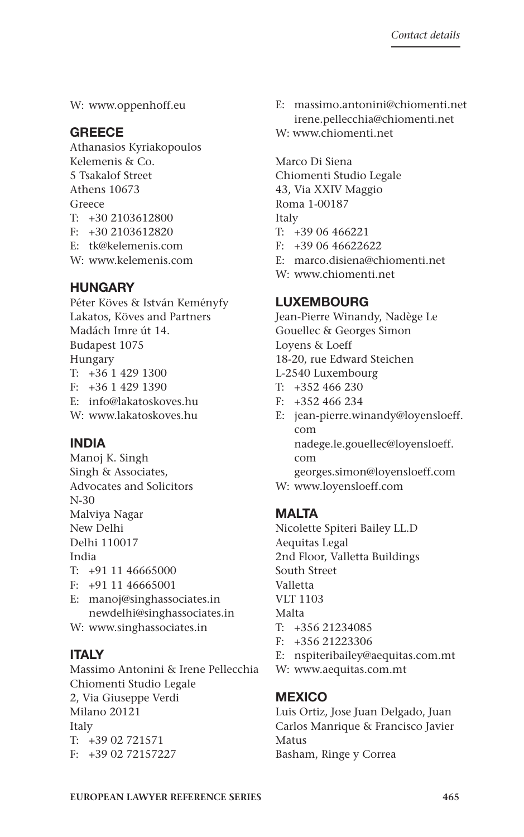W: www.oppenhoff.eu

# **Greece**

- Athanasios Kyriakopoulos Kelemenis & Co. 5 Tsakalof Street Athens 10673 Greece T: +30 2103612800 F: +30 2103612820 E: tk@kelemenis.com
- W: www.kelemenis.com

# **Hungary**

Péter Köves & István Keményfy Lakatos, Köves and Partners Madách Imre út 14. Budapest 1075 Hungary T: +36 1 429 1300 F: +36 1 429 1390 E: info@lakatoskoves.hu W: www.lakatoskoves.hu

# **India**

Manoj K. Singh Singh & Associates, Advocates and Solicitors N-30 Malviya Nagar New Delhi Delhi 110017 India T: +91 11 46665000 F: +91 11 46665001 E: manoj@singhassociates.in newdelhi@singhassociates.in

W: www.singhassociates.in

# **Italy**

Massimo Antonini & Irene Pellecchia Chiomenti Studio Legale 2, Via Giuseppe Verdi Milano 20121 Italy T: +39 02 721571 F: +39 02 72157227

E: massimo.antonini@chiomenti.net irene.pellecchia@chiomenti.net W: www.chiomenti.net

Marco Di Siena Chiomenti Studio Legale 43, Via XXIV Maggio Roma 1-00187 Italy T: +39 06 466221  $F: +390646622622$ E: marco.disiena@chiomenti.net W: www.chiomenti.net

# **Luxembourg**

Jean-Pierre Winandy, Nadège Le Gouellec & Georges Simon Loyens & Loeff 18-20, rue Edward Steichen L-2540 Luxembourg T: +352 466 230

- F: +352 466 234
- E: jean-pierre.winandy@loyensloeff. com nadege.le.gouellec@loyensloeff. com georges.simon@loyensloeff.com
- W: www.loyensloeff.com

# **Malta**

Nicolette Spiteri Bailey LL.D Aequitas Legal 2nd Floor, Valletta Buildings South Street Valletta VLT 1103 Malta T: +356 21234085 F: +356 21223306

- E: nspiteribailey@aequitas.com.mt
- W: www.aequitas.com.mt

# **Mexico**

Luis Ortiz, Jose Juan Delgado, Juan Carlos Manrique & Francisco Javier Matus Basham, Ringe y Correa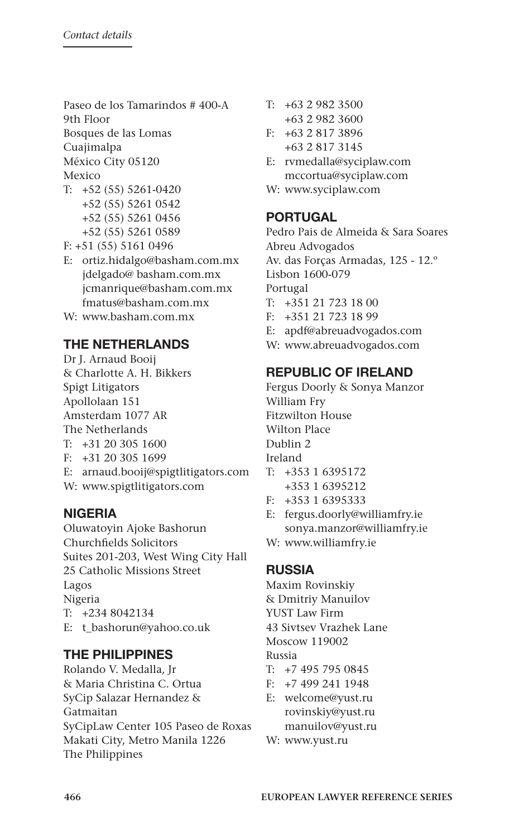Paseo de los Tamarindos # 400-A 9th Floor Bosques de las Lomas Cuajimalpa

México City 05120

Mexico

- T: +52 (55) 5261-0420 +52 (55) 5261 0542 +52 (55) 5261 0456 +52 (55) 5261 0589
- F: +51 (55) 5161 0496
- E: ortiz.hidalgo@basham.com.mx jdelgado@ basham.com.mx jcmanrique@basham.com.mx fmatus@basham.com.mx
- W: www.basham.com.mx

# **The Netherlands**

Dr J. Arnaud Booij & Charlotte A. H. Bikkers Spigt Litigators Apollolaan 151 Amsterdam 1077 AR The Netherlands T: +31 20 305 1600 F: +31 20 305 1699 E: arnaud.booij@spigtlitigators.com W: www.spigtlitigators.com

# **Nigeria**

Oluwatoyin Ajoke Bashorun Churchfields Solicitors Suites 201-203, West Wing City Hall 25 Catholic Missions Street Lagos Nigeria T: +234 8042134 E: t\_bashorun@yahoo.co.uk

# **The Philippines**

Rolando V. Medalla, Jr & Maria Christina C. Ortua SyCip Salazar Hernandez & Gatmaitan SyCipLaw Center 105 Paseo de Roxas Makati City, Metro Manila 1226 The Philippines

- T: +63 2 982 3500
- +63 2 982 3600
- F: +63 2 817 3896
- +63 2 817 3145
- E: rvmedalla@syciplaw.com mccortua@syciplaw.com
- W: www.syciplaw.com

# **Portugal**

Pedro Pais de Almeida & Sara Soares Abreu Advogados Av. das Forças Armadas, 125 - 12.º Lisbon 1600-079 Portugal T: +351 21 723 18 00 F: +351 21 723 18 99 E: apdf@abreuadvogados.com W: www.abreuadvogados.com

# **Republic of Ireland**

- Fergus Doorly & Sonya Manzor William Fry Fitzwilton House Wilton Place Dublin 2 Ireland T: +353 1 6395172
- +353 1 6395212
- F: +353 1 6395333
- E: fergus.doorly@williamfry.ie sonya.manzor@williamfry.ie
- W: www.williamfry.ie

# **Russia**

Maxim Rovinskiy

- & Dmitriy Manuilov
- YUST Law Firm

43 Sivtsev Vrazhek Lane

Moscow 119002

- Russia
- T: +7 495 795 0845
- F: +7 499 241 1948
- E: welcome@yust.ru rovinskiy@yust.ru manuilov@yust.ru
- W: www.yust.ru